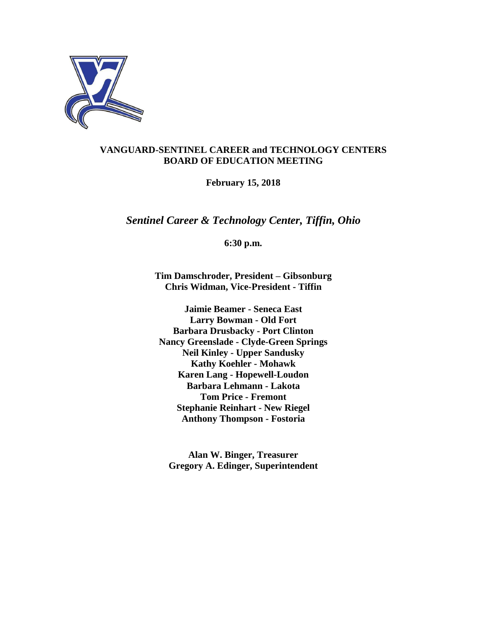

# **VANGUARD-SENTINEL CAREER and TECHNOLOGY CENTERS BOARD OF EDUCATION MEETING**

**February 15, 2018**

*Sentinel Career & Technology Center, Tiffin, Ohio*

**6:30 p.m.**

**Tim Damschroder, President – Gibsonburg Chris Widman, Vice-President - Tiffin**

**Jaimie Beamer - Seneca East Larry Bowman - Old Fort Barbara Drusbacky - Port Clinton Nancy Greenslade - Clyde-Green Springs Neil Kinley - Upper Sandusky Kathy Koehler - Mohawk Karen Lang - Hopewell-Loudon Barbara Lehmann - Lakota Tom Price - Fremont Stephanie Reinhart - New Riegel Anthony Thompson - Fostoria**

**Alan W. Binger, Treasurer Gregory A. Edinger, Superintendent**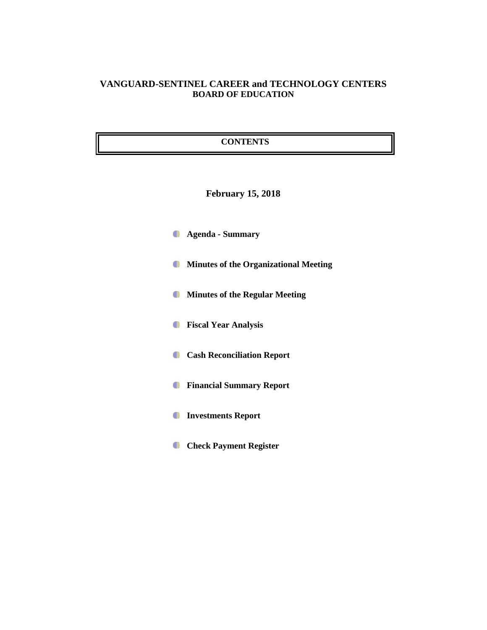# **VANGUARD-SENTINEL CAREER and TECHNOLOGY CENTERS BOARD OF EDUCATION**

### **CONTENTS**

# **February 15, 2018**

- **Agenda - Summary**
- **Minutes of the Organizational Meeting**
- **Minutes of the Regular Meeting**
- **Fiscal Year Analysis**
- **Cash Reconciliation Report**
- **Financial Summary Report**
- **Investments Report**
- **Check Payment Register**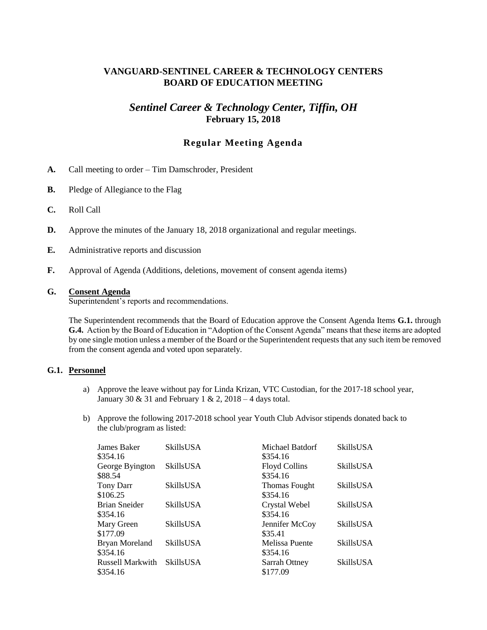# **VANGUARD-SENTINEL CAREER & TECHNOLOGY CENTERS BOARD OF EDUCATION MEETING**

# *Sentinel Career & Technology Center, Tiffin, OH* **February 15, 2018**

## **Regular Meeting Agenda**

- **A.** Call meeting to order Tim Damschroder, President
- **B.** Pledge of Allegiance to the Flag
- **C.** Roll Call
- **D.** Approve the minutes of the January 18, 2018 organizational and regular meetings.
- **E.** Administrative reports and discussion
- **F.** Approval of Agenda (Additions, deletions, movement of consent agenda items)

#### **G. Consent Agenda**

Superintendent's reports and recommendations.

The Superintendent recommends that the Board of Education approve the Consent Agenda Items **G.1.** through **G.4.** Action by the Board of Education in "Adoption of the Consent Agenda" means that these items are adopted by one single motion unless a member of the Board or the Superintendent requests that any such item be removed from the consent agenda and voted upon separately.

#### **G.1. Personnel**

- a) Approve the leave without pay for Linda Krizan, VTC Custodian, for the 2017-18 school year, January 30 & 31 and February 1 & 2,  $2018 - 4$  days total.
- b) Approve the following 2017-2018 school year Youth Club Advisor stipends donated back to the club/program as listed:

| James Baker             | <b>SkillsUSA</b> | Michael Batdorf      | SkillsUSA        |
|-------------------------|------------------|----------------------|------------------|
| \$354.16                |                  | \$354.16             |                  |
| George Byington         | <b>SkillsUSA</b> | <b>Floyd Collins</b> | SkillsUSA        |
| \$88.54                 |                  | \$354.16             |                  |
| Tony Darr               | <b>SkillsUSA</b> | <b>Thomas Fought</b> | SkillsUSA        |
| \$106.25                |                  | \$354.16             |                  |
| <b>Brian Sneider</b>    | <b>SkillsUSA</b> | Crystal Webel        | <b>SkillsUSA</b> |
| \$354.16                |                  | \$354.16             |                  |
| Mary Green              | <b>SkillsUSA</b> | Jennifer McCoy       | SkillsUSA        |
| \$177.09                |                  | \$35.41              |                  |
| <b>Bryan Moreland</b>   | <b>SkillsUSA</b> | Melissa Puente       | SkillsUSA        |
| \$354.16                |                  | \$354.16             |                  |
| <b>Russell Markwith</b> | <b>SkillsUSA</b> | Sarrah Ottney        | SkillsUSA        |
| \$354.16                |                  | \$177.09             |                  |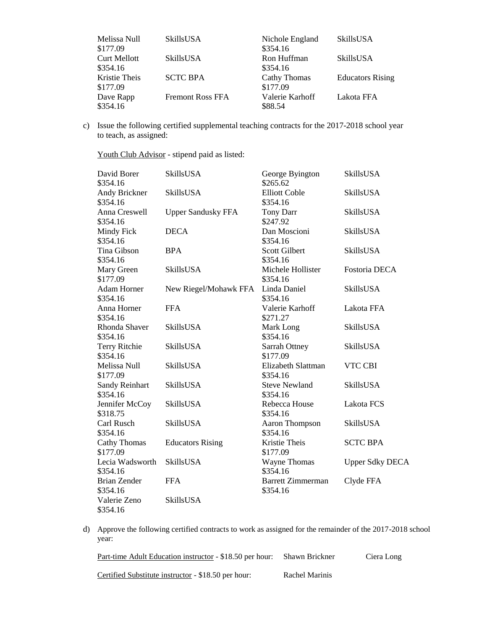| Melissa Null<br>\$177.09        | SkillsUSA               | Nichole England<br>\$354.16 | SkillsUSA               |
|---------------------------------|-------------------------|-----------------------------|-------------------------|
| <b>Curt Mellott</b><br>\$354.16 | SkillsUSA               | Ron Huffman<br>\$354.16     | SkillsUSA               |
| Kristie Theis<br>\$177.09       | <b>SCTC BPA</b>         | Cathy Thomas<br>\$177.09    | <b>Educators Rising</b> |
| Dave Rapp<br>\$354.16           | <b>Fremont Ross FFA</b> | Valerie Karhoff<br>\$88.54  | Lakota FFA              |

c) Issue the following certified supplemental teaching contracts for the 2017-2018 school year to teach, as assigned:

Youth Club Advisor - stipend paid as listed:

| David Borer<br>\$354.16           | <b>SkillsUSA</b>          | George Byington<br>\$265.62          | <b>SkillsUSA</b>       |
|-----------------------------------|---------------------------|--------------------------------------|------------------------|
| Andy Brickner<br>\$354.16         | SkillsUSA                 | <b>Elliott Coble</b><br>\$354.16     | <b>SkillsUSA</b>       |
| Anna Creswell<br>\$354.16         | <b>Upper Sandusky FFA</b> | <b>Tony Darr</b><br>\$247.92         | SkillsUSA              |
| Mindy Fick<br>\$354.16            | <b>DECA</b>               | Dan Moscioni<br>\$354.16             | SkillsUSA              |
| Tina Gibson<br>\$354.16           | <b>BPA</b>                | <b>Scott Gilbert</b><br>\$354.16     | <b>SkillsUSA</b>       |
| Mary Green<br>\$177.09            | <b>SkillsUSA</b>          | Michele Hollister<br>\$354.16        | Fostoria DECA          |
| <b>Adam Horner</b><br>\$354.16    | New Riegel/Mohawk FFA     | Linda Daniel<br>\$354.16             | <b>SkillsUSA</b>       |
| Anna Horner<br>\$354.16           | <b>FFA</b>                | Valerie Karhoff<br>\$271.27          | Lakota FFA             |
| Rhonda Shaver<br>\$354.16         | <b>SkillsUSA</b>          | Mark Long<br>\$354.16                | SkillsUSA              |
| <b>Terry Ritchie</b><br>\$354.16  | <b>SkillsUSA</b>          | Sarrah Ottney<br>\$177.09            | <b>SkillsUSA</b>       |
| Melissa Null<br>\$177.09          | <b>SkillsUSA</b>          | Elizabeth Slattman<br>\$354.16       | VTC CBI                |
| <b>Sandy Reinhart</b><br>\$354.16 | <b>SkillsUSA</b>          | <b>Steve Newland</b><br>\$354.16     | <b>SkillsUSA</b>       |
| Jennifer McCoy<br>\$318.75        | SkillsUSA                 | Rebecca House<br>\$354.16            | Lakota FCS             |
| Carl Rusch<br>\$354.16            | <b>SkillsUSA</b>          | <b>Aaron Thompson</b><br>\$354.16    | <b>SkillsUSA</b>       |
| <b>Cathy Thomas</b><br>\$177.09   | <b>Educators Rising</b>   | Kristie Theis<br>\$177.09            | <b>SCTC BPA</b>        |
| Lecia Wadsworth<br>\$354.16       | <b>SkillsUSA</b>          | Wayne Thomas<br>\$354.16             | <b>Upper Sdky DECA</b> |
| <b>Brian Zender</b><br>\$354.16   | <b>FFA</b>                | <b>Barrett Zimmerman</b><br>\$354.16 | Clyde FFA              |
| Valerie Zeno<br>\$354.16          | SkillsUSA                 |                                      |                        |

d) Approve the following certified contracts to work as assigned for the remainder of the 2017-2018 school year:

| Part-time Adult Education instructor - \$18.50 per hour: | <b>Shawn Brickner</b> | Ciera Long |
|----------------------------------------------------------|-----------------------|------------|
| Certified Substitute instructor - \$18.50 per hour:      | Rachel Marinis        |            |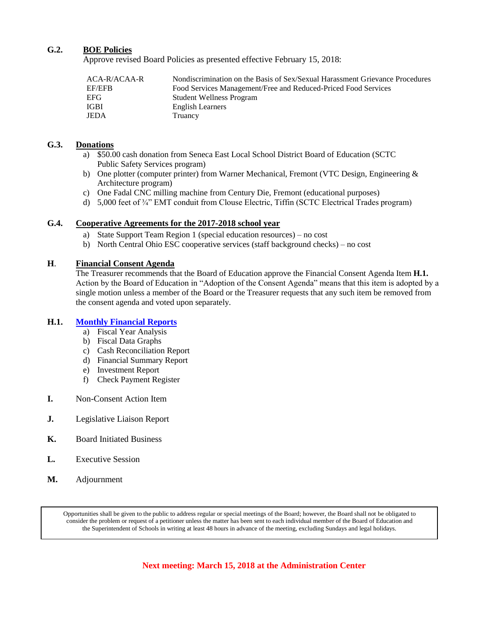#### **G.2. BOE Policies**

Approve revised Board Policies as presented effective February 15, 2018:

| ACA-R/ACAA-R | Nondiscrimination on the Basis of Sex/Sexual Harassment Grievance Procedures |
|--------------|------------------------------------------------------------------------------|
| EF/EFB       | Food Services Management/Free and Reduced-Priced Food Services               |
| EFG.         | <b>Student Wellness Program</b>                                              |
| <b>IGBI</b>  | <b>English Learners</b>                                                      |
| <b>JEDA</b>  | Truancy                                                                      |

#### **G.3. Donations**

- a) \$50.00 cash donation from Seneca East Local School District Board of Education (SCTC Public Safety Services program)
- b) One plotter (computer printer) from Warner Mechanical, Fremont (VTC Design, Engineering & Architecture program)
- c) One Fadal CNC milling machine from Century Die, Fremont (educational purposes)
- d) 5,000 feet of ¾" EMT conduit from Clouse Electric, Tiffin (SCTC Electrical Trades program)

#### **G.4. Cooperative Agreements for the 2017-2018 school year**

- a) State Support Team Region 1 (special education resources) no cost
- b) North Central Ohio ESC cooperative services (staff background checks) no cost

#### **H**. **Financial Consent Agenda**

The Treasurer recommends that the Board of Education approve the Financial Consent Agenda Item **H.1.** Action by the Board of Education in "Adoption of the Consent Agenda" means that this item is adopted by a single motion unless a member of the Board or the Treasurer requests that any such item be removed from the consent agenda and voted upon separately.

#### **H.1. [Monthly Financial Reports](http://boe.vscc.k12.oh.us/Board%20of%20Education/Treasurer/February%202018/Treasurers%20Report%20February%202018.pdf)**

- a) Fiscal Year Analysis
- b) Fiscal Data Graphs
- c) Cash Reconciliation Report
- d) Financial Summary Report
- e) Investment Report
- f) Check Payment Register
- **I.** Non-Consent Action Item
- **J.** Legislative Liaison Report
- **K.** Board Initiated Business
- **L.** Executive Session
- **M.** Adjournment

Opportunities shall be given to the public to address regular or special meetings of the Board; however, the Board shall not be obligated to consider the problem or request of a petitioner unless the matter has been sent to each individual member of the Board of Education and the Superintendent of Schools in writing at least 48 hours in advance of the meeting, excluding Sundays and legal holidays.

**Next meeting: March 15, 2018 at the Administration Center**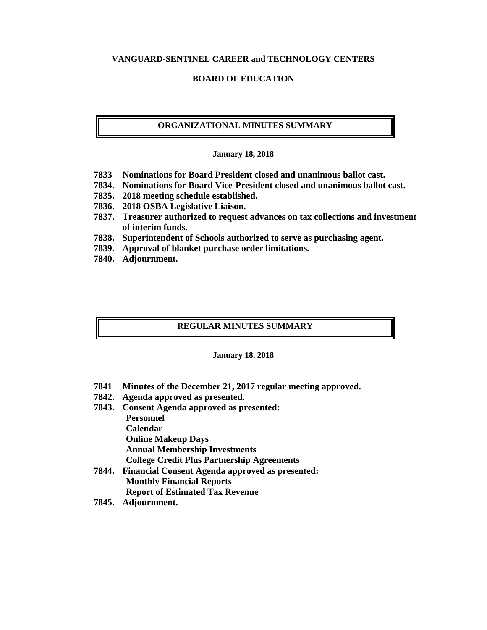#### **VANGUARD-SENTINEL CAREER and TECHNOLOGY CENTERS**

#### **BOARD OF EDUCATION**

#### **ORGANIZATIONAL MINUTES SUMMARY**

#### **January 18, 2018**

- **7833 Nominations for Board President closed and unanimous ballot cast.**
- **7834. Nominations for Board Vice-President closed and unanimous ballot cast.**
- **7835. 2018 meeting schedule established.**
- **7836. 2018 OSBA Legislative Liaison.**
- **7837. Treasurer authorized to request advances on tax collections and investment of interim funds.**
- **7838. Superintendent of Schools authorized to serve as purchasing agent.**
- **7839. Approval of blanket purchase order limitations.**
- **7840. Adjournment.**

#### **REGULAR MINUTES SUMMARY**

#### **January 18, 2018**

- **7841 Minutes of the December 21, 2017 regular meeting approved.**
- **7842. Agenda approved as presented.**
- **7843. Consent Agenda approved as presented: Personnel Calendar Online Makeup Days Annual Membership Investments College Credit Plus Partnership Agreements 7844. Financial Consent Agenda approved as presented:**
	- **Monthly Financial Reports Report of Estimated Tax Revenue**
	-
- **7845. Adjournment.**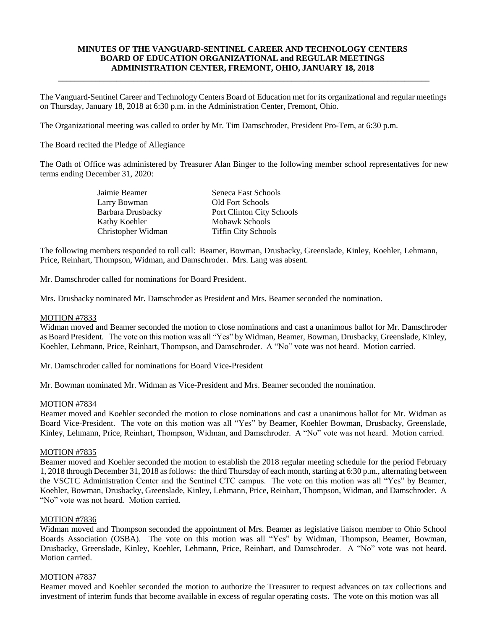#### **MINUTES OF THE VANGUARD-SENTINEL CAREER AND TECHNOLOGY CENTERS BOARD OF EDUCATION ORGANIZATIONAL and REGULAR MEETINGS ADMINISTRATION CENTER, FREMONT, OHIO, JANUARY 18, 2018**

**\_\_\_\_\_\_\_\_\_\_\_\_\_\_\_\_\_\_\_\_\_\_\_\_\_\_\_\_\_\_\_\_\_\_\_\_\_\_\_\_\_\_\_\_\_\_\_\_\_\_\_\_\_\_\_\_\_\_\_\_\_\_\_\_\_\_\_\_\_\_\_\_\_\_\_\_\_\_\_\_\_\_\_\_\_\_\_\_\_**

The Vanguard-Sentinel Career and Technology Centers Board of Education met for its organizational and regular meetings on Thursday, January 18, 2018 at 6:30 p.m. in the Administration Center, Fremont, Ohio.

The Organizational meeting was called to order by Mr. Tim Damschroder, President Pro-Tem, at 6:30 p.m.

The Board recited the Pledge of Allegiance

The Oath of Office was administered by Treasurer Alan Binger to the following member school representatives for new terms ending December 31, 2020:

| Jaimie Beamer      | Seneca East Schools        |
|--------------------|----------------------------|
| Larry Bowman       | <b>Old Fort Schools</b>    |
| Barbara Drusbacky  | Port Clinton City Schools  |
| Kathy Koehler      | <b>Mohawk Schools</b>      |
| Christopher Widman | <b>Tiffin City Schools</b> |

The following members responded to roll call: Beamer, Bowman, Drusbacky, Greenslade, Kinley, Koehler, Lehmann, Price, Reinhart, Thompson, Widman, and Damschroder. Mrs. Lang was absent.

Mr. Damschroder called for nominations for Board President.

Mrs. Drusbacky nominated Mr. Damschroder as President and Mrs. Beamer seconded the nomination.

#### MOTION #7833

Widman moved and Beamer seconded the motion to close nominations and cast a unanimous ballot for Mr. Damschroder as Board President. The vote on this motion was all "Yes" by Widman, Beamer, Bowman, Drusbacky, Greenslade, Kinley, Koehler, Lehmann, Price, Reinhart, Thompson, and Damschroder. A "No" vote was not heard. Motion carried.

Mr. Damschroder called for nominations for Board Vice-President

Mr. Bowman nominated Mr. Widman as Vice-President and Mrs. Beamer seconded the nomination.

#### MOTION #7834

Beamer moved and Koehler seconded the motion to close nominations and cast a unanimous ballot for Mr. Widman as Board Vice-President. The vote on this motion was all "Yes" by Beamer, Koehler Bowman, Drusbacky, Greenslade, Kinley, Lehmann, Price, Reinhart, Thompson, Widman, and Damschroder. A "No" vote was not heard. Motion carried.

#### MOTION #7835

Beamer moved and Koehler seconded the motion to establish the 2018 regular meeting schedule for the period February 1, 2018 through December 31, 2018 as follows: the third Thursday of each month, starting at 6:30 p.m., alternating between the VSCTC Administration Center and the Sentinel CTC campus. The vote on this motion was all "Yes" by Beamer, Koehler, Bowman, Drusbacky, Greenslade, Kinley, Lehmann, Price, Reinhart, Thompson, Widman, and Damschroder. A "No" vote was not heard. Motion carried.

#### MOTION #7836

Widman moved and Thompson seconded the appointment of Mrs. Beamer as legislative liaison member to Ohio School Boards Association (OSBA). The vote on this motion was all "Yes" by Widman, Thompson, Beamer, Bowman, Drusbacky, Greenslade, Kinley, Koehler, Lehmann, Price, Reinhart, and Damschroder. A "No" vote was not heard. Motion carried.

#### MOTION #7837

Beamer moved and Koehler seconded the motion to authorize the Treasurer to request advances on tax collections and investment of interim funds that become available in excess of regular operating costs. The vote on this motion was all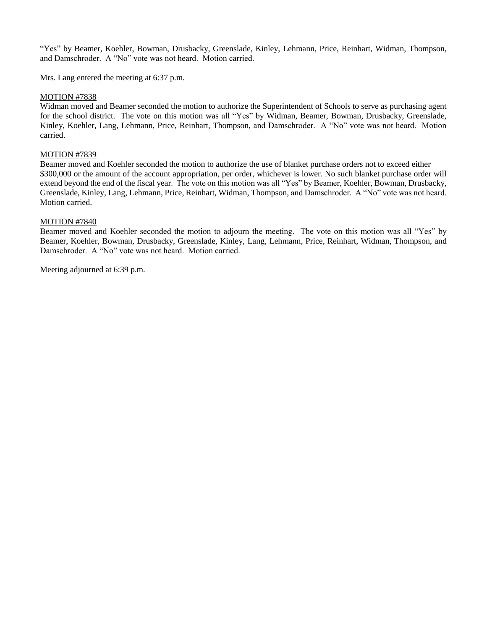"Yes" by Beamer, Koehler, Bowman, Drusbacky, Greenslade, Kinley, Lehmann, Price, Reinhart, Widman, Thompson, and Damschroder. A "No" vote was not heard. Motion carried.

Mrs. Lang entered the meeting at 6:37 p.m.

#### MOTION #7838

Widman moved and Beamer seconded the motion to authorize the Superintendent of Schools to serve as purchasing agent for the school district. The vote on this motion was all "Yes" by Widman, Beamer, Bowman, Drusbacky, Greenslade, Kinley, Koehler, Lang, Lehmann, Price, Reinhart, Thompson, and Damschroder. A "No" vote was not heard. Motion carried.

#### MOTION #7839

Beamer moved and Koehler seconded the motion to authorize the use of blanket purchase orders not to exceed either \$300,000 or the amount of the account appropriation, per order, whichever is lower. No such blanket purchase order will extend beyond the end of the fiscal year. The vote on this motion was all "Yes" by Beamer, Koehler, Bowman, Drusbacky, Greenslade, Kinley, Lang, Lehmann, Price, Reinhart, Widman, Thompson, and Damschroder. A "No" vote was not heard. Motion carried.

#### MOTION #7840

Beamer moved and Koehler seconded the motion to adjourn the meeting. The vote on this motion was all "Yes" by Beamer, Koehler, Bowman, Drusbacky, Greenslade, Kinley, Lang, Lehmann, Price, Reinhart, Widman, Thompson, and Damschroder. A "No" vote was not heard. Motion carried.

Meeting adjourned at 6:39 p.m.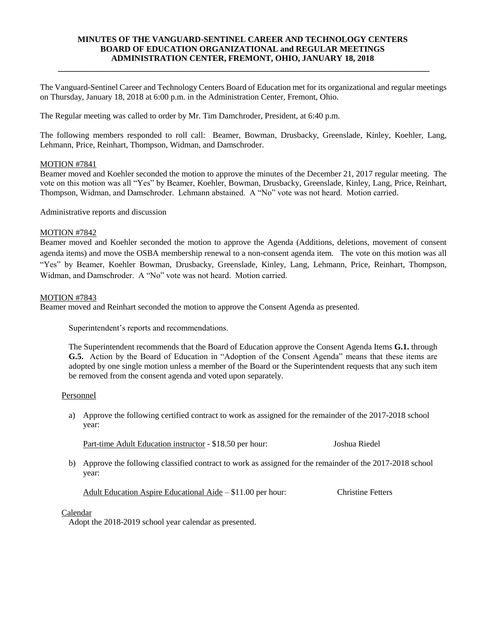#### **MINUTES OF THE VANGUARD-SENTINEL CAREER AND TECHNOLOGY CENTERS BOARD OF EDUCATION ORGANIZATIONAL and REGULAR MEETINGS ADMINISTRATION CENTER, FREMONT, OHIO, JANUARY 18, 2018**

**\_\_\_\_\_\_\_\_\_\_\_\_\_\_\_\_\_\_\_\_\_\_\_\_\_\_\_\_\_\_\_\_\_\_\_\_\_\_\_\_\_\_\_\_\_\_\_\_\_\_\_\_\_\_\_\_\_\_\_\_\_\_\_\_\_\_\_\_\_\_\_\_\_\_\_\_\_\_\_\_\_\_\_\_\_\_\_\_\_**

The Vanguard-Sentinel Career and Technology Centers Board of Education met for its organizational and regular meetings on Thursday, January 18, 2018 at 6:00 p.m. in the Administration Center, Fremont, Ohio.

The Regular meeting was called to order by Mr. Tim Damchroder, President, at 6:40 p.m.

The following members responded to roll call: Beamer, Bowman, Drusbacky, Greenslade, Kinley, Koehler, Lang, Lehmann, Price, Reinhart, Thompson, Widman, and Damschroder.

#### MOTION #7841

Beamer moved and Koehler seconded the motion to approve the minutes of the December 21, 2017 regular meeting. The vote on this motion was all "Yes" by Beamer, Koehler, Bowman, Drusbacky, Greenslade, Kinley, Lang, Price, Reinhart, Thompson, Widman, and Damschroder. Lehmann abstained. A "No" vote was not heard. Motion carried.

Administrative reports and discussion

#### MOTION #7842

Beamer moved and Koehler seconded the motion to approve the Agenda (Additions, deletions, movement of consent agenda items) and move the OSBA membership renewal to a non-consent agenda item. The vote on this motion was all "Yes" by Beamer, Koehler Bowman, Drusbacky, Greenslade, Kinley, Lang, Lehmann, Price, Reinhart, Thompson, Widman, and Damschroder. A "No" vote was not heard. Motion carried.

#### MOTION #7843

Beamer moved and Reinhart seconded the motion to approve the Consent Agenda as presented.

Superintendent's reports and recommendations.

The Superintendent recommends that the Board of Education approve the Consent Agenda Items **G.1.** through **G.5.** Action by the Board of Education in "Adoption of the Consent Agenda" means that these items are adopted by one single motion unless a member of the Board or the Superintendent requests that any such item be removed from the consent agenda and voted upon separately.

#### Personnel

a) Approve the following certified contract to work as assigned for the remainder of the 2017-2018 school year:

Part-time Adult Education instructor - \$18.50 per hour: Joshua Riedel

b) Approve the following classified contract to work as assigned for the remainder of the 2017-2018 school year:

Adult Education Aspire Educational Aide – \$11.00 per hour: Christine Fetters

Calendar

Adopt the 2018-2019 school year calendar as presented.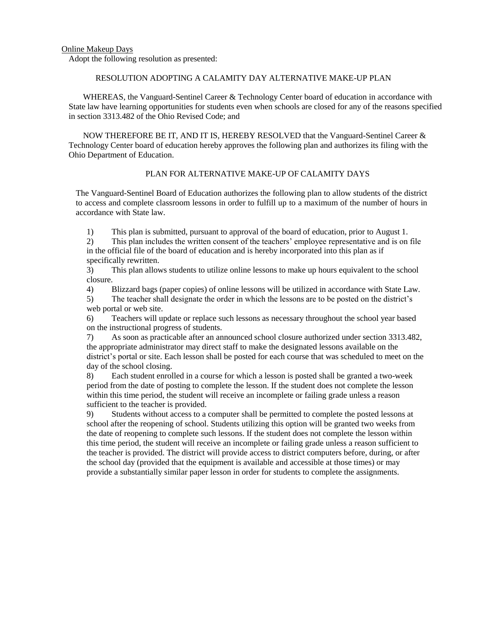#### RESOLUTION ADOPTING A CALAMITY DAY ALTERNATIVE MAKE-UP PLAN

WHEREAS, the Vanguard-Sentinel Career & Technology Center board of education in accordance with State law have learning opportunities for students even when schools are closed for any of the reasons specified in section 3313.482 of the Ohio Revised Code; and

NOW THEREFORE BE IT, AND IT IS, HEREBY RESOLVED that the Vanguard-Sentinel Career & Technology Center board of education hereby approves the following plan and authorizes its filing with the Ohio Department of Education.

#### PLAN FOR ALTERNATIVE MAKE-UP OF CALAMITY DAYS

The Vanguard-Sentinel Board of Education authorizes the following plan to allow students of the district to access and complete classroom lessons in order to fulfill up to a maximum of the number of hours in accordance with State law.

1) This plan is submitted, pursuant to approval of the board of education, prior to August 1.

2) This plan includes the written consent of the teachers' employee representative and is on file in the official file of the board of education and is hereby incorporated into this plan as if specifically rewritten.

3) This plan allows students to utilize online lessons to make up hours equivalent to the school closure.

4) Blizzard bags (paper copies) of online lessons will be utilized in accordance with State Law.

5) The teacher shall designate the order in which the lessons are to be posted on the district's web portal or web site.

6) Teachers will update or replace such lessons as necessary throughout the school year based on the instructional progress of students.

7) As soon as practicable after an announced school closure authorized under section 3313.482, the appropriate administrator may direct staff to make the designated lessons available on the district's portal or site. Each lesson shall be posted for each course that was scheduled to meet on the day of the school closing.

8) Each student enrolled in a course for which a lesson is posted shall be granted a two-week period from the date of posting to complete the lesson. If the student does not complete the lesson within this time period, the student will receive an incomplete or failing grade unless a reason sufficient to the teacher is provided.

9) Students without access to a computer shall be permitted to complete the posted lessons at school after the reopening of school. Students utilizing this option will be granted two weeks from the date of reopening to complete such lessons. If the student does not complete the lesson within this time period, the student will receive an incomplete or failing grade unless a reason sufficient to the teacher is provided. The district will provide access to district computers before, during, or after the school day (provided that the equipment is available and accessible at those times) or may provide a substantially similar paper lesson in order for students to complete the assignments.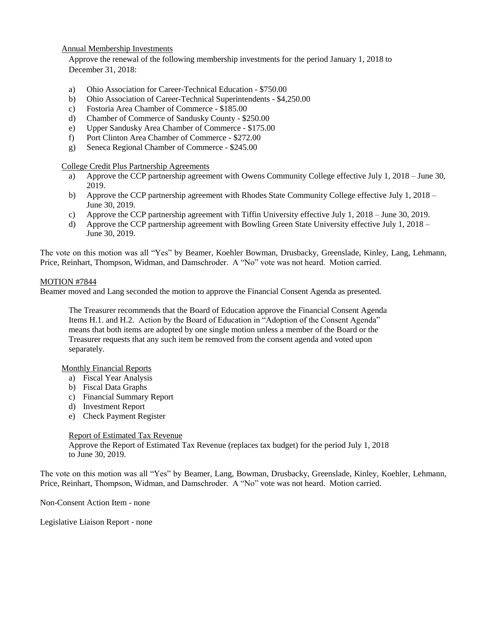#### Annual Membership Investments

Approve the renewal of the following membership investments for the period January 1, 2018 to December 31, 2018:

- a) Ohio Association for Career-Technical Education \$750.00
- b) Ohio Association of Career-Technical Superintendents \$4,250.00
- c) Fostoria Area Chamber of Commerce \$185.00
- d) Chamber of Commerce of Sandusky County \$250.00
- e) Upper Sandusky Area Chamber of Commerce \$175.00
- f) Port Clinton Area Chamber of Commerce \$272.00
- g) Seneca Regional Chamber of Commerce \$245.00

College Credit Plus Partnership Agreements

- a) Approve the CCP partnership agreement with Owens Community College effective July 1, 2018 June 30, 2019.
- b) Approve the CCP partnership agreement with Rhodes State Community College effective July 1, 2018 June 30, 2019.
- c) Approve the CCP partnership agreement with Tiffin University effective July 1, 2018 June 30, 2019.
- d) Approve the CCP partnership agreement with Bowling Green State University effective July 1, 2018 June 30, 2019.

The vote on this motion was all "Yes" by Beamer, Koehler Bowman, Drusbacky, Greenslade, Kinley, Lang, Lehmann, Price, Reinhart, Thompson, Widman, and Damschroder. A "No" vote was not heard. Motion carried.

#### MOTION #7844

Beamer moved and Lang seconded the motion to approve the Financial Consent Agenda as presented.

The Treasurer recommends that the Board of Education approve the Financial Consent Agenda Items H.1. and H.2.Action by the Board of Education in "Adoption of the Consent Agenda" means that both items are adopted by one single motion unless a member of the Board or the Treasurer requests that any such item be removed from the consent agenda and voted upon separately.

Monthly Financial Reports

- a) Fiscal Year Analysis
- b) Fiscal Data Graphs
- c) Financial Summary Report
- d) Investment Report
- e) Check Payment Register

Report of Estimated Tax Revenue

Approve the Report of Estimated Tax Revenue (replaces tax budget) for the period July 1, 2018 to June 30, 2019.

The vote on this motion was all "Yes" by Beamer, Lang, Bowman, Drusbacky, Greenslade, Kinley, Koehler, Lehmann, Price, Reinhart, Thompson, Widman, and Damschroder. A "No" vote was not heard. Motion carried.

Non-Consent Action Item - none

Legislative Liaison Report - none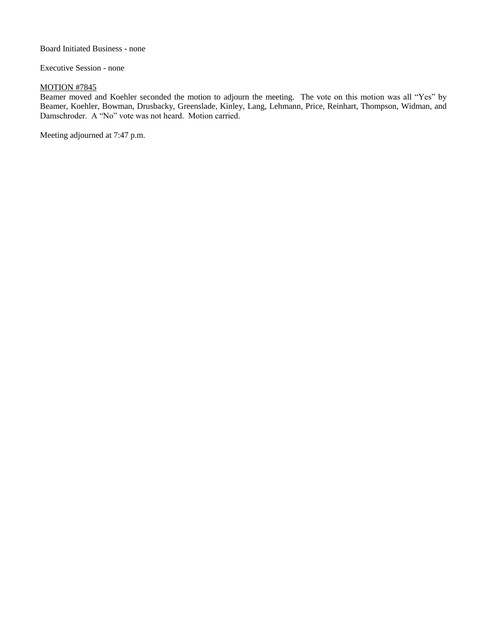Board Initiated Business - none

Executive Session - none

#### MOTION #7845

Beamer moved and Koehler seconded the motion to adjourn the meeting. The vote on this motion was all "Yes" by Beamer, Koehler, Bowman, Drusbacky, Greenslade, Kinley, Lang, Lehmann, Price, Reinhart, Thompson, Widman, and Damschroder. A "No" vote was not heard. Motion carried.

Meeting adjourned at 7:47 p.m.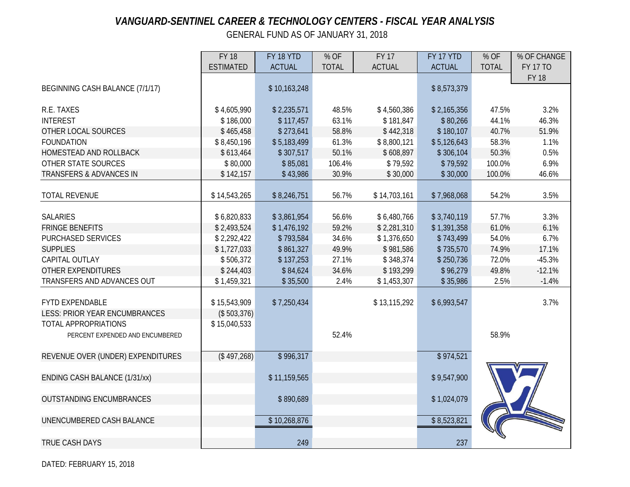# *VANGUARD-SENTINEL CAREER & TECHNOLOGY CENTERS - FISCAL YEAR ANALYSIS*

GENERAL FUND AS OF JANUARY 31, 2018

|                                      | <b>FY 18</b>     | FY 18 YTD     | % OF         | <b>FY 17</b>  | FY 17 YTD     | % OF         | % OF CHANGE     |
|--------------------------------------|------------------|---------------|--------------|---------------|---------------|--------------|-----------------|
|                                      | <b>ESTIMATED</b> | <b>ACTUAL</b> | <b>TOTAL</b> | <b>ACTUAL</b> | <b>ACTUAL</b> | <b>TOTAL</b> | <b>FY 17 TO</b> |
|                                      |                  |               |              |               |               |              | <b>FY 18</b>    |
| BEGINNING CASH BALANCE (7/1/17)      |                  | \$10,163,248  |              |               | \$8,573,379   |              |                 |
|                                      |                  |               |              |               |               |              |                 |
| R.E. TAXES                           | \$4,605,990      | \$2,235,571   | 48.5%        | \$4,560,386   | \$2,165,356   | 47.5%        | 3.2%            |
| <b>INTEREST</b>                      | \$186,000        | \$117,457     | 63.1%        | \$181,847     | \$80,266      | 44.1%        | 46.3%           |
| OTHER LOCAL SOURCES                  | \$465,458        | \$273,641     | 58.8%        | \$442,318     | \$180,107     | 40.7%        | 51.9%           |
| <b>FOUNDATION</b>                    | \$8,450,196      | \$5,183,499   | 61.3%        | \$8,800,121   | \$5,126,643   | 58.3%        | 1.1%            |
| HOMESTEAD AND ROLLBACK               | \$613,464        | \$307,517     | 50.1%        | \$608,897     | \$306,104     | 50.3%        | 0.5%            |
| OTHER STATE SOURCES                  | \$80,000         | \$85,081      | 106.4%       | \$79,592      | \$79,592      | 100.0%       | 6.9%            |
| <b>TRANSFERS &amp; ADVANCES IN</b>   | \$142,157        | \$43,986      | 30.9%        | \$30,000      | \$30,000      | 100.0%       | 46.6%           |
|                                      |                  |               |              |               |               |              |                 |
| <b>TOTAL REVENUE</b>                 | \$14,543,265     | \$8,246,751   | 56.7%        | \$14,703,161  | \$7,968,068   | 54.2%        | 3.5%            |
|                                      |                  |               |              |               |               |              |                 |
| <b>SALARIES</b>                      | \$6,820,833      | \$3,861,954   | 56.6%        | \$6,480,766   | \$3,740,119   | 57.7%        | 3.3%            |
| <b>FRINGE BENEFITS</b>               | \$2,493,524      | \$1,476,192   | 59.2%        | \$2,281,310   | \$1,391,358   | 61.0%        | 6.1%            |
| <b>PURCHASED SERVICES</b>            | \$2,292,422      | \$793,584     | 34.6%        | \$1,376,650   | \$743,499     | 54.0%        | 6.7%            |
| <b>SUPPLIES</b>                      | \$1,727,033      | \$861,327     | 49.9%        | \$981,586     | \$735,570     | 74.9%        | 17.1%           |
| CAPITAL OUTLAY                       | \$506,372        | \$137,253     | 27.1%        | \$348,374     | \$250,736     | 72.0%        | $-45.3%$        |
| <b>OTHER EXPENDITURES</b>            | \$244,403        | \$84,624      | 34.6%        | \$193,299     | \$96,279      | 49.8%        | $-12.1%$        |
| TRANSFERS AND ADVANCES OUT           | \$1,459,321      | \$35,500      | 2.4%         | \$1,453,307   | \$35,986      | 2.5%         | $-1.4%$         |
|                                      |                  |               |              |               |               |              |                 |
| <b>FYTD EXPENDABLE</b>               | \$15,543,909     | \$7,250,434   |              | \$13,115,292  | \$6,993,547   |              | 3.7%            |
| <b>LESS: PRIOR YEAR ENCUMBRANCES</b> | (\$503,376)      |               |              |               |               |              |                 |
| TOTAL APPROPRIATIONS                 | \$15,040,533     |               |              |               |               |              |                 |
| PERCENT EXPENDED AND ENCUMBERED      |                  |               | 52.4%        |               |               | 58.9%        |                 |
|                                      |                  |               |              |               |               |              |                 |
| REVENUE OVER (UNDER) EXPENDITURES    | (\$497,268)      | \$996,317     |              |               | \$974,521     |              |                 |
|                                      |                  |               |              |               |               |              |                 |
| ENDING CASH BALANCE (1/31/xx)        |                  | \$11,159,565  |              |               | \$9,547,900   |              |                 |
|                                      |                  |               |              |               |               |              |                 |
| <b>OUTSTANDING ENCUMBRANCES</b>      |                  | \$890,689     |              |               | \$1,024,079   |              |                 |
|                                      |                  |               |              |               |               |              |                 |
| UNENCUMBERED CASH BALANCE            |                  | \$10,268,876  |              |               | \$8,523,821   |              |                 |
|                                      |                  |               |              |               |               |              |                 |
| <b>TRUE CASH DAYS</b>                |                  | 249           |              |               | 237           |              |                 |

DATED: FEBRUARY 15, 2018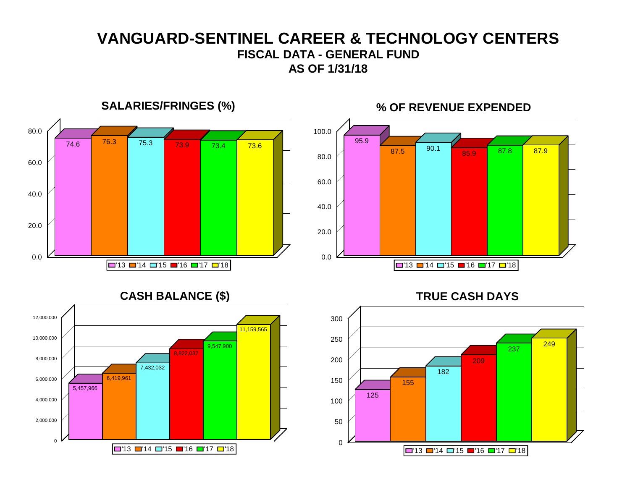# **VANGUARD-SENTINEL CAREER & TECHNOLOGY CENTERS FISCAL DATA - GENERAL FUND AS OF 1/31/18**

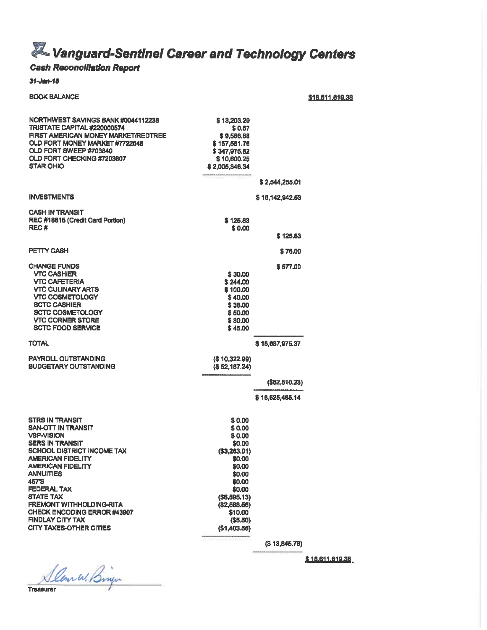# **X** Vanguard-Sentinel Career and Technology Centers

# **Cash Reconciliation Report**

#### $31 - Jan - 18$

#### **BOOK BALANCE**

\$18.611.619.38

| NORTHWEST SAVINGS BANK#0044112238<br><b>TRISTATE CAPITAL #220000574</b><br><b>FIRST AMERICAN MONEY MARKET/REDTREE</b><br>OLD FORT MONEY MARKET #7722648<br>OLD FORT SWEEP #703840<br>OLD FORT CHECKING #7203607<br><b>STAR OHIO</b>                                                                                                                                                                                 | \$13,203.29<br>\$0.67<br>\$9,566,88<br>\$157,561,76<br>\$347,975.82<br>\$10,600.25<br>\$2,005,346.34                                                                          | \$2,544,255.01  |
|---------------------------------------------------------------------------------------------------------------------------------------------------------------------------------------------------------------------------------------------------------------------------------------------------------------------------------------------------------------------------------------------------------------------|-------------------------------------------------------------------------------------------------------------------------------------------------------------------------------|-----------------|
| <b>INVESTMENTS</b>                                                                                                                                                                                                                                                                                                                                                                                                  |                                                                                                                                                                               | \$16,142,942,53 |
| <b>CASH IN TRANSIT</b><br>REC #18815 (Credit Card Portion)<br>REC <sup>#</sup>                                                                                                                                                                                                                                                                                                                                      | \$125.83<br>\$0.00                                                                                                                                                            |                 |
|                                                                                                                                                                                                                                                                                                                                                                                                                     |                                                                                                                                                                               | \$125.83        |
| <b>PETTY CASH</b>                                                                                                                                                                                                                                                                                                                                                                                                   |                                                                                                                                                                               | \$75.00         |
| <b>CHANGE FUNDS</b><br><b>VTC CASHIER</b><br><b>VTC CAFETERIA</b><br><b>VTC CULINARY ARTS</b><br><b>VTC COSMETOLOGY</b><br><b>SCTC CASHIER</b><br><b>SCTC COSMETOLOGY</b><br><b>VTC CORNER STORE</b><br><b>SCTC FOOD SERVICE</b>                                                                                                                                                                                    | \$30,00<br>\$244,00<br>\$100,00<br>\$40.00<br>\$38.00<br>\$50.00<br>\$30.00<br>\$45.00                                                                                        | \$577.00        |
| <b>TOTAL</b>                                                                                                                                                                                                                                                                                                                                                                                                        |                                                                                                                                                                               | \$18,687,975.37 |
| <b>PAYROLL OUTSTANDING</b><br><b>BUDGETARY OUTSTANDING</b>                                                                                                                                                                                                                                                                                                                                                          | (\$10,322.99)<br>(\$52,187.24)                                                                                                                                                |                 |
|                                                                                                                                                                                                                                                                                                                                                                                                                     |                                                                                                                                                                               | (\$62,510.23)   |
|                                                                                                                                                                                                                                                                                                                                                                                                                     |                                                                                                                                                                               | \$18,625,465.14 |
| <b>STRS IN TRANSIT</b><br><b>SAN-OTT IN TRANSIT</b><br><b>VSP-VISION</b><br><b>SERS IN TRANSIT</b><br><b>SCHOOL DISTRICT INCOME TAX</b><br><b>AMERICAN FIDELITY</b><br><b>AMERICAN FIDELITY</b><br><b>ANNUITIES</b><br><b>457'S</b><br><b>FEDERAL TAX</b><br><b>STATE TAX</b><br><b>FREMONT WITHHOLDING-RITA</b><br><b>CHECK ENCODING ERROR #43907</b><br><b>FINDLAY CITY TAX</b><br><b>CITY TAXES-OTHER CITIES</b> | \$0.00<br>\$0.00<br>\$0.00<br>\$0.00<br>(\$3,263.01)<br>\$0.00<br>\$0.00<br>\$0.00<br>\$0.00<br>\$0,00<br>(\$6,695,13)<br>(\$2,588.56)<br>\$10.00<br>(\$5.50)<br>(\$1,403.56) |                 |

 $($ 13,845.76)$ 

\$18.611.619.38

Slen W. Briger **Treasurer**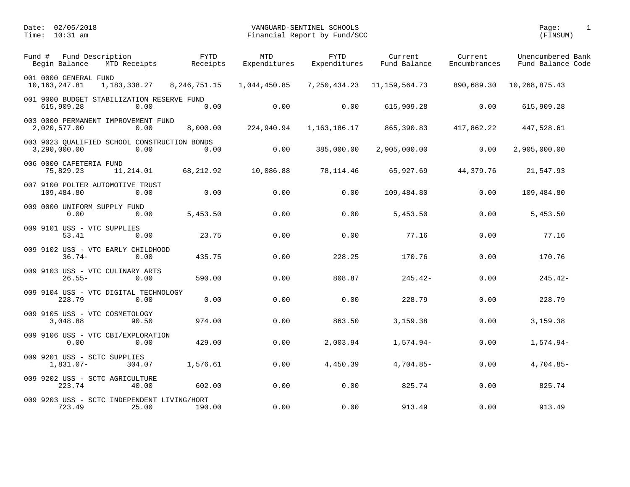| Fund # | Fund Description<br>Begin Balance                            | MTD Receipts   | <b>FYTD</b><br>Receipts | MTD<br>Expenditures | <b>FYTD</b><br>Expenditures | Current<br>Fund Balance | Current<br>Encumbrances | Unencumbered Bank<br>Fund Balance Code |
|--------|--------------------------------------------------------------|----------------|-------------------------|---------------------|-----------------------------|-------------------------|-------------------------|----------------------------------------|
|        | 001 0000 GENERAL FUND<br>10, 163, 247.81                     | 1, 183, 338.27 | 8, 246, 751. 15         | 1,044,450.85        | 7,250,434.23                | 11, 159, 564. 73        | 890,689.30              | 10,268,875.43                          |
|        | 001 9000 BUDGET STABILIZATION RESERVE FUND<br>615,909.28     | 0.00           | 0.00                    | 0.00                | 0.00                        | 615,909.28              | 0.00                    | 615,909.28                             |
|        | 003 0000 PERMANENT IMPROVEMENT FUND<br>2,020,577.00          | 0.00           | 8,000.00                | 224,940.94          | 1,163,186.17                | 865,390.83              | 417,862.22              | 447,528.61                             |
|        | 003 9023 QUALIFIED SCHOOL CONSTRUCTION BONDS<br>3,290,000.00 | 0.00           | 0.00                    | 0.00                | 385,000.00                  | 2,905,000.00            | 0.00                    | 2,905,000.00                           |
|        | 006 0000 CAFETERIA FUND<br>75,829.23                         | 11,214.01      | 68,212.92               | 10,086.88           | 78,114.46                   | 65,927.69               | 44,379.76               | 21,547.93                              |
|        | 007 9100 POLTER AUTOMOTIVE TRUST<br>109,484.80               | 0.00           | 0.00                    | 0.00                | 0.00                        | 109,484.80              | 0.00                    | 109,484.80                             |
|        | 009 0000 UNIFORM SUPPLY FUND<br>0.00                         | 0.00           | 5,453.50                | 0.00                | 0.00                        | 5,453.50                | 0.00                    | 5,453.50                               |
|        | 009 9101 USS - VTC SUPPLIES<br>53.41                         | 0.00           | 23.75                   | 0.00                | 0.00                        | 77.16                   | 0.00                    | 77.16                                  |
|        | 009 9102 USS - VTC EARLY CHILDHOOD<br>$36.74-$               | 0.00           | 435.75                  | 0.00                | 228.25                      | 170.76                  | 0.00                    | 170.76                                 |
|        | 009 9103 USS - VTC CULINARY ARTS<br>$26.55 -$                | 0.00           | 590.00                  | 0.00                | 808.87                      | $245.42-$               | 0.00                    | $245.42-$                              |
|        | 009 9104 USS - VTC DIGITAL TECHNOLOGY<br>228.79              | 0.00           | 0.00                    | 0.00                | 0.00                        | 228.79                  | 0.00                    | 228.79                                 |
|        | 009 9105 USS - VTC COSMETOLOGY<br>3,048.88                   | 90.50          | 974.00                  | 0.00                | 863.50                      | 3,159.38                | 0.00                    | 3,159.38                               |
|        | 009 9106 USS - VTC CBI/EXPLORATION<br>0.00                   | 0.00           | 429.00                  | 0.00                | 2,003.94                    | $1,574.94-$             | 0.00                    | $1,574.94-$                            |
|        | 009 9201 USS - SCTC SUPPLIES<br>$1,831.07-$                  | 304.07         | 1,576.61                | 0.00                | 4,450.39                    | $4,704.85-$             | 0.00                    | $4,704.85-$                            |
|        | 009 9202 USS - SCTC AGRICULTURE<br>223.74                    | 40.00          | 602.00                  | 0.00                | 0.00                        | 825.74                  | 0.00                    | 825.74                                 |
|        | 009 9203 USS - SCTC INDEPENDENT LIVING/HORT<br>723.49        | 25.00          | 190.00                  | 0.00                | 0.00                        | 913.49                  | 0.00                    | 913.49                                 |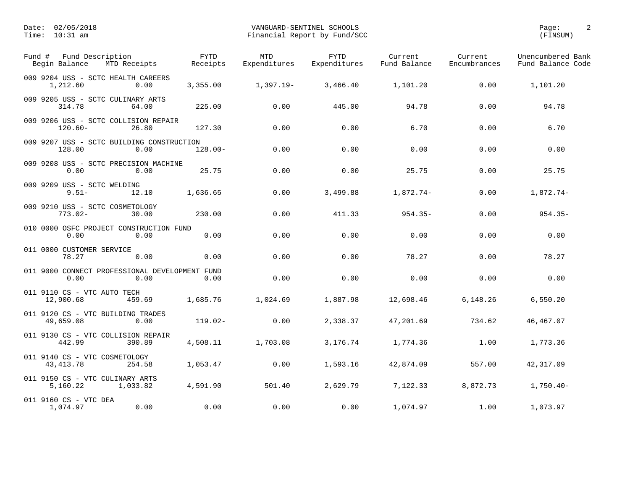| Fund #<br>Begin Balance                       | Fund Description<br>MTD Receipts                       | FYTD<br>Receipts | MTD<br>Expenditures | <b>FYTD</b><br>Expenditures | Current<br>Fund Balance | Current<br>Encumbrances | Unencumbered Bank<br>Fund Balance Code |
|-----------------------------------------------|--------------------------------------------------------|------------------|---------------------|-----------------------------|-------------------------|-------------------------|----------------------------------------|
| 1,212.60                                      | 009 9204 USS - SCTC HEALTH CAREERS<br>0.00             | 3,355.00         | 1,397.19-           | 3,466.40                    | 1,101.20                | 0.00                    | 1,101.20                               |
| 314.78                                        | 009 9205 USS - SCTC CULINARY ARTS<br>64.00             | 225.00           | 0.00                | 445.00                      | 94.78                   | 0.00                    | 94.78                                  |
| $120.60 -$                                    | 009 9206 USS - SCTC COLLISION REPAIR<br>26.80          | 127.30           | 0.00                | 0.00                        | 6.70                    | 0.00                    | 6.70                                   |
| 128.00                                        | 009 9207 USS - SCTC BUILDING CONSTRUCTION<br>0.00      | $128.00 -$       | 0.00                | 0.00                        | 0.00                    | 0.00                    | 0.00                                   |
| 0.00                                          | 009 9208 USS - SCTC PRECISION MACHINE<br>0.00          | 25.75            | 0.00                | 0.00                        | 25.75                   | 0.00                    | 25.75                                  |
| 009 9209 USS - SCTC WELDING<br>$9.51 -$       | 12.10                                                  | 1,636.65         | 0.00                | 3,499.88                    | 1,872.74-               | 0.00                    | $1,872.74-$                            |
| 009 9210 USS - SCTC COSMETOLOGY<br>$773.02 -$ | 30.00                                                  | 230.00           | 0.00                | 411.33                      | $954.35 -$              | 0.00                    | $954.35 -$                             |
| 0.00                                          | 010 0000 OSFC PROJECT CONSTRUCTION FUND<br>0.00        | 0.00             | 0.00                | 0.00                        | 0.00                    | 0.00                    | 0.00                                   |
| 011 0000 CUSTOMER SERVICE<br>78.27            | 0.00                                                   | 0.00             | 0.00                | 0.00                        | 78.27                   | 0.00                    | 78.27                                  |
| 0.00                                          | 011 9000 CONNECT PROFESSIONAL DEVELOPMENT FUND<br>0.00 | 0.00             | 0.00                | 0.00                        | 0.00                    | 0.00                    | 0.00                                   |
| 011 9110 CS - VTC AUTO TECH<br>12,900.68      | 459.69                                                 | 1,685.76         | 1,024.69            | 1,887.98                    | 12,698.46               | 6,148.26                | 6,550.20                               |
| 49,659.08                                     | 011 9120 CS - VTC BUILDING TRADES<br>0.00              | $119.02 -$       | 0.00                | 2,338.37                    | 47,201.69               | 734.62                  | 46, 467.07                             |
| 442.99                                        | 011 9130 CS - VTC COLLISION REPAIR<br>390.89           | 4,508.11         | 1,703.08            | 3,176.74                    | 1,774.36                | 1.00                    | 1,773.36                               |
| 011 9140 CS - VTC COSMETOLOGY<br>43, 413. 78  | 254.58                                                 | 1,053.47         | 0.00                | 1,593.16                    | 42,874.09               | 557.00                  | 42, 317.09                             |
| 011 9150 CS - VTC CULINARY ARTS<br>5,160.22   | 1,033.82                                               | 4,591.90         | 501.40              | 2,629.79                    | 7,122.33                | 8,872.73                | $1,750.40-$                            |
| 011 9160 CS - VTC DEA<br>1,074.97             | 0.00                                                   | 0.00             | 0.00                | 0.00                        | 1,074.97                | 1.00                    | 1,073.97                               |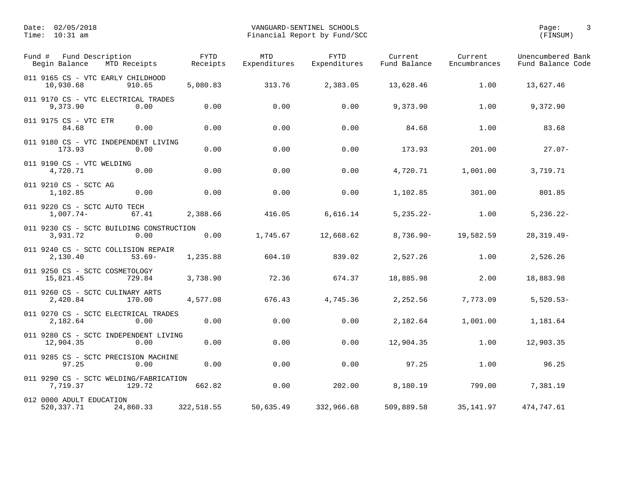| Fund Description<br>Fund #<br>Begin Balance<br>MTD Receipts  | <b>FYTD</b><br>Receipts | <b>MTD</b><br>Expenditures | <b>FYTD</b><br>Expenditures | Current<br>Fund Balance | Current<br>Encumbrances | Unencumbered Bank<br>Fund Balance Code |
|--------------------------------------------------------------|-------------------------|----------------------------|-----------------------------|-------------------------|-------------------------|----------------------------------------|
| 011 9165 CS - VTC EARLY CHILDHOOD<br>10,930.68<br>910.65     | 5,080.83                | 313.76                     | 2,383.05                    | 13,628.46               | 1.00                    | 13,627.46                              |
| 011 9170 CS - VTC ELECTRICAL TRADES<br>9,373.90<br>0.00      | 0.00                    | 0.00                       | 0.00                        | 9,373.90                | 1.00                    | 9,372.90                               |
| 011 9175 CS - VTC ETR<br>0.00<br>84.68                       | 0.00                    | 0.00                       | 0.00                        | 84.68                   | 1.00                    | 83.68                                  |
| 011 9180 CS - VTC INDEPENDENT LIVING<br>173.93<br>0.00       | 0.00                    | 0.00                       | 0.00                        | 173.93                  | 201.00                  | $27.07 -$                              |
| 011 9190 CS - VTC WELDING<br>4,720.71<br>0.00                | 0.00                    | 0.00                       | 0.00                        | 4,720.71                | 1,001.00                | 3,719.71                               |
| 011 9210 CS - SCTC AG<br>1,102.85<br>0.00                    | 0.00                    | 0.00                       | 0.00                        | 1,102.85                | 301.00                  | 801.85                                 |
| 011 9220 CS - SCTC AUTO TECH<br>$1,007.74-$<br>67.41         | 2,388.66                | 416.05                     | 6,616.14                    | $5, 235.22 -$           | 1.00                    | $5,236.22 -$                           |
| 011 9230 CS - SCTC BUILDING CONSTRUCTION<br>3,931.72<br>0.00 | 0.00                    | 1,745.67                   | 12,668.62                   | $8,736.90 -$            | 19,582.59               | $28, 319.49 -$                         |
| 011 9240 CS - SCTC COLLISION REPAIR<br>2,130.40<br>$53.69-$  | 1,235.88                | 604.10                     | 839.02                      | 2,527.26                | 1.00                    | 2,526.26                               |
| 011 9250 CS - SCTC COSMETOLOGY<br>729.84<br>15,821.45        | 3,738.90                | 72.36                      | 674.37                      | 18,885.98               | 2.00                    | 18,883.98                              |
| 011 9260 CS - SCTC CULINARY ARTS<br>2,420.84<br>170.00       | 4,577.08                | 676.43                     | 4,745.36                    | 2,252.56                | 7,773.09                | $5,520.53-$                            |
| 011 9270 CS - SCTC ELECTRICAL TRADES<br>2,182.64<br>0.00     | 0.00                    | 0.00                       | 0.00                        | 2,182.64                | 1,001.00                | 1,181.64                               |
| 011 9280 CS - SCTC INDEPENDENT LIVING<br>12,904.35<br>0.00   | 0.00                    | 0.00                       | 0.00                        | 12,904.35               | 1.00                    | 12,903.35                              |
| 011 9285 CS - SCTC PRECISION MACHINE<br>97.25<br>0.00        | 0.00                    | 0.00                       | 0.00                        | 97.25                   | 1.00                    | 96.25                                  |
| 011 9290 CS - SCTC WELDING/FABRICATION<br>7,719.37<br>129.72 | 662.82                  | 0.00                       | 202.00                      | 8,180.19                | 799.00                  | 7,381.19                               |
| 012 0000 ADULT EDUCATION<br>520, 337. 71<br>24,860.33        | 322,518.55              | 50,635.49                  | 332,966.68                  | 509,889.58              | 35,141.97               | 474,747.61                             |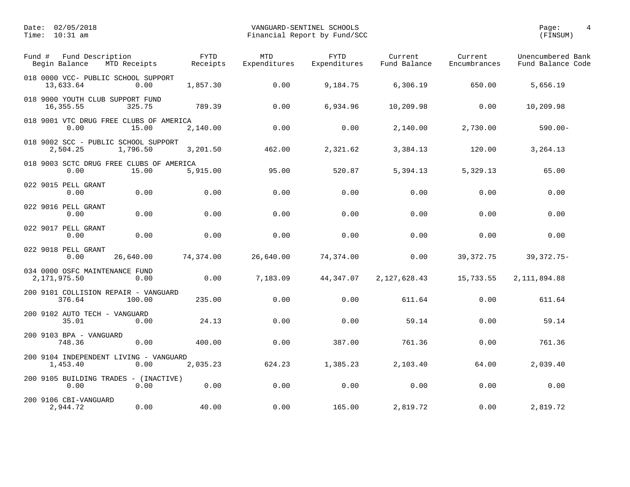| Fund Description<br>Fund #<br>Begin Balance<br>MTD Receipts  | <b>FYTD</b><br>Receipts | <b>MTD</b><br>Expenditures | <b>FYTD</b><br>Expenditures | Current<br>Fund Balance | Current<br>Encumbrances | Unencumbered Bank<br>Fund Balance Code |
|--------------------------------------------------------------|-------------------------|----------------------------|-----------------------------|-------------------------|-------------------------|----------------------------------------|
| 018 0000 VCC- PUBLIC SCHOOL SUPPORT<br>13,633.64             | 0.00<br>1,857.30        | 0.00                       | 9,184.75                    | 6,306.19                | 650.00                  | 5,656.19                               |
| 018 9000 YOUTH CLUB SUPPORT FUND<br>16,355.55<br>325.75      | 789.39                  | 0.00                       | 6,934.96                    | 10,209.98               | 0.00                    | 10,209.98                              |
| 018 9001 VTC DRUG FREE CLUBS OF AMERICA<br>0.00              | 15.00<br>2,140.00       | 0.00                       | 0.00                        | 2,140.00                | 2,730.00                | $590.00 -$                             |
| 018 9002 SCC - PUBLIC SCHOOL SUPPORT<br>2,504.25<br>1,796.50 | 3,201.50                | 462.00                     | 2,321.62                    | 3,384.13                | 120.00                  | 3,264.13                               |
| 018 9003 SCTC DRUG FREE CLUBS OF AMERICA<br>0.00             | 15.00<br>5,915.00       | 95.00                      | 520.87                      | 5,394.13                | 5,329.13                | 65.00                                  |
| 022 9015 PELL GRANT<br>0.00                                  | 0.00<br>0.00            | 0.00                       | 0.00                        | 0.00                    | 0.00                    | 0.00                                   |
| 022 9016 PELL GRANT<br>0.00                                  | 0.00<br>0.00            | 0.00                       | 0.00                        | 0.00                    | 0.00                    | 0.00                                   |
| 022 9017 PELL GRANT<br>0.00                                  | 0.00<br>0.00            | 0.00                       | 0.00                        | 0.00                    | 0.00                    | 0.00                                   |
| 022 9018 PELL GRANT<br>0.00<br>26,640.00                     | 74,374.00               | 26,640.00                  | 74,374.00                   | 0.00                    | 39, 372. 75             | $39,372.75-$                           |
| 034 0000 OSFC MAINTENANCE FUND<br>2, 171, 975.50             | 0.00<br>0.00            | 7,183.09                   | 44,347.07                   | 2, 127, 628.43          | 15,733.55               | 2, 111, 894.88                         |
| 200 9101 COLLISION REPAIR - VANGUARD<br>376.64<br>100.00     | 235.00                  | 0.00                       | 0.00                        | 611.64                  | 0.00                    | 611.64                                 |
| 200 9102 AUTO TECH - VANGUARD<br>35.01                       | 24.13<br>0.00           | 0.00                       | 0.00                        | 59.14                   | 0.00                    | 59.14                                  |
| 200 9103 BPA - VANGUARD<br>748.36                            | 0.00<br>400.00          | 0.00                       | 387.00                      | 761.36                  | 0.00                    | 761.36                                 |
| 200 9104 INDEPENDENT LIVING - VANGUARD<br>1,453.40           | 0.00<br>2,035.23        | 624.23                     | 1,385.23                    | 2,103.40                | 64.00                   | 2,039.40                               |
| 200 9105 BUILDING TRADES - (INACTIVE)<br>0.00                | 0.00<br>0.00            | 0.00                       | 0.00                        | 0.00                    | 0.00                    | 0.00                                   |
| 200 9106 CBI-VANGUARD<br>2,944.72                            | 40.00<br>0.00           | 0.00                       | 165.00                      | 2,819.72                | 0.00                    | 2,819.72                               |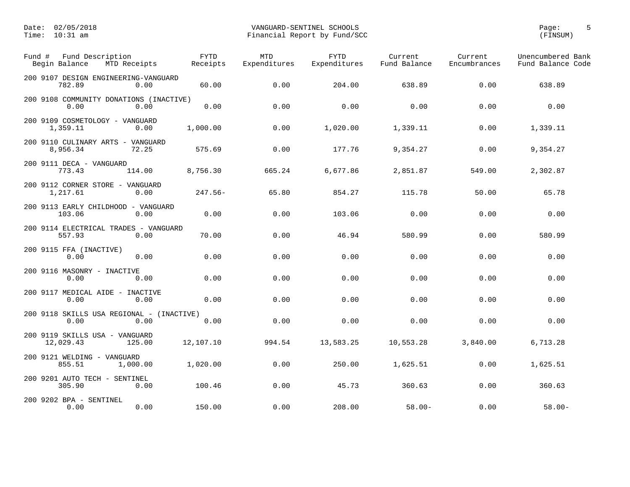| Fund #<br>Fund Description<br>Begin Balance<br>MTD Receipts | <b>FYTD</b><br>Receipts | <b>MTD</b><br>Expenditures | <b>FYTD</b><br>Expenditures | Current<br>Fund Balance | Current<br>Encumbrances | Unencumbered Bank<br>Fund Balance Code |
|-------------------------------------------------------------|-------------------------|----------------------------|-----------------------------|-------------------------|-------------------------|----------------------------------------|
| 200 9107 DESIGN ENGINEERING-VANGUARD<br>782.89<br>0.00      | 60.00                   | 0.00                       | 204.00                      | 638.89                  | 0.00                    | 638.89                                 |
| 200 9108 COMMUNITY DONATIONS (INACTIVE)<br>0.00<br>0.00     | 0.00                    | 0.00                       | 0.00                        | 0.00                    | 0.00                    | 0.00                                   |
| 200 9109 COSMETOLOGY - VANGUARD<br>1,359.11<br>0.00         | 1,000.00                | 0.00                       | 1,020.00                    | 1,339.11                | 0.00                    | 1,339.11                               |
| 200 9110 CULINARY ARTS - VANGUARD<br>8,956.34<br>72.25      | 575.69                  | 0.00                       | 177.76                      | 9,354.27                | 0.00                    | 9,354.27                               |
| 200 9111 DECA - VANGUARD<br>773.43<br>114.00                | 8,756.30                | 665.24                     | 6,677.86                    | 2,851.87                | 549.00                  | 2,302.87                               |
| 200 9112 CORNER STORE - VANGUARD<br>1,217.61<br>0.00        | $247.56-$               | 65.80                      | 854.27                      | 115.78                  | 50.00                   | 65.78                                  |
| 200 9113 EARLY CHILDHOOD - VANGUARD<br>103.06<br>0.00       | 0.00                    | 0.00                       | 103.06                      | 0.00                    | 0.00                    | 0.00                                   |
| 200 9114 ELECTRICAL TRADES - VANGUARD<br>0.00<br>557.93     | 70.00                   | 0.00                       | 46.94                       | 580.99                  | 0.00                    | 580.99                                 |
| 200 9115 FFA (INACTIVE)<br>0.00<br>0.00                     | 0.00                    | 0.00                       | 0.00                        | 0.00                    | 0.00                    | 0.00                                   |
| 200 9116 MASONRY - INACTIVE<br>0.00<br>0.00                 | 0.00                    | 0.00                       | 0.00                        | 0.00                    | 0.00                    | 0.00                                   |
| 200 9117 MEDICAL AIDE - INACTIVE<br>0.00<br>0.00            | 0.00                    | 0.00                       | 0.00                        | 0.00                    | 0.00                    | 0.00                                   |
| 200 9118 SKILLS USA REGIONAL - (INACTIVE)<br>0.00<br>0.00   | 0.00                    | 0.00                       | 0.00                        | 0.00                    | 0.00                    | 0.00                                   |
| 200 9119 SKILLS USA - VANGUARD<br>12,029.43<br>125.00       | 12,107.10               | 994.54                     | 13,583.25                   | 10,553.28               | 3,840.00                | 6,713.28                               |
| 200 9121 WELDING - VANGUARD<br>855.51<br>1,000.00           | 1,020.00                | 0.00                       | 250.00                      | 1,625.51                | 0.00                    | 1,625.51                               |
| 200 9201 AUTO TECH - SENTINEL<br>305.90<br>0.00             | 100.46                  | 0.00                       | 45.73                       | 360.63                  | 0.00                    | 360.63                                 |
| 200 9202 BPA - SENTINEL<br>0.00<br>0.00                     | 150.00                  | 0.00                       | 208.00                      | $58.00 -$               | 0.00                    | $58.00 -$                              |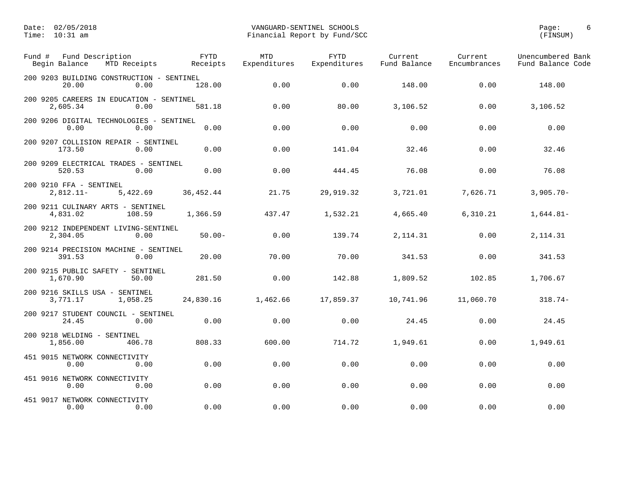| Fund # | Fund Description<br>Begin Balance<br>MTD Receipts    |          | <b>FYTD</b><br>Receipts | <b>MTD</b><br>Expenditures | <b>FYTD</b><br>Expenditures | Current<br>Fund Balance | Current<br>Encumbrances | Unencumbered Bank<br>Fund Balance Code |
|--------|------------------------------------------------------|----------|-------------------------|----------------------------|-----------------------------|-------------------------|-------------------------|----------------------------------------|
|        | 200 9203 BUILDING CONSTRUCTION - SENTINEL<br>20.00   | 0.00     | 128.00                  | 0.00                       | 0.00                        | 148.00                  | 0.00                    | 148.00                                 |
|        | 200 9205 CAREERS IN EDUCATION - SENTINEL<br>2,605.34 | 0.00     | 581.18                  | 0.00                       | 80.00                       | 3,106.52                | 0.00                    | 3,106.52                               |
|        | 200 9206 DIGITAL TECHNOLOGIES - SENTINEL<br>0.00     | 0.00     | 0.00                    | 0.00                       | 0.00                        | 0.00                    | 0.00                    | 0.00                                   |
|        | 200 9207 COLLISION REPAIR - SENTINEL<br>173.50       | 0.00     | 0.00                    | 0.00                       | 141.04                      | 32.46                   | 0.00                    | 32.46                                  |
|        | 200 9209 ELECTRICAL TRADES - SENTINEL<br>520.53      | 0.00     | 0.00                    | 0.00                       | 444.45                      | 76.08                   | 0.00                    | 76.08                                  |
|        | 200 9210 FFA - SENTINEL<br>$2,812.11-$               | 5,422.69 | 36,452.44               | 21.75                      | 29,919.32                   | 3,721.01                | 7,626.71                | $3,905.70 -$                           |
|        | 200 9211 CULINARY ARTS - SENTINEL<br>4,831.02        | 108.59   | 1,366.59                | 437.47                     | 1,532.21                    | 4,665.40                | 6, 310.21               | $1,644.81-$                            |
|        | 200 9212 INDEPENDENT LIVING-SENTINEL<br>2,304.05     | 0.00     | $50.00 -$               | 0.00                       | 139.74                      | 2, 114.31               | 0.00                    | 2, 114.31                              |
|        | 200 9214 PRECISION MACHINE - SENTINEL<br>391.53      | 0.00     | 20.00                   | 70.00                      | 70.00                       | 341.53                  | 0.00                    | 341.53                                 |
|        | 200 9215 PUBLIC SAFETY - SENTINEL<br>1,670.90        | 50.00    | 281.50                  | 0.00                       | 142.88                      | 1,809.52                | 102.85                  | 1,706.67                               |
|        | 200 9216 SKILLS USA - SENTINEL<br>3,771.17           | 1,058.25 | 24,830.16               | 1,462.66                   | 17,859.37                   | 10,741.96               | 11,060.70               | $318.74-$                              |
|        | 200 9217 STUDENT COUNCIL - SENTINEL<br>24.45         | 0.00     | 0.00                    | 0.00                       | 0.00                        | 24.45                   | 0.00                    | 24.45                                  |
|        | 200 9218 WELDING - SENTINEL<br>1,856.00              | 406.78   | 808.33                  | 600.00                     | 714.72                      | 1,949.61                | 0.00                    | 1,949.61                               |
|        | 451 9015 NETWORK CONNECTIVITY<br>0.00                | 0.00     | 0.00                    | 0.00                       | 0.00                        | 0.00                    | 0.00                    | 0.00                                   |
|        | 451 9016 NETWORK CONNECTIVITY<br>0.00                | 0.00     | 0.00                    | 0.00                       | 0.00                        | 0.00                    | 0.00                    | 0.00                                   |
|        | 451 9017 NETWORK CONNECTIVITY<br>0.00                | 0.00     | 0.00                    | 0.00                       | 0.00                        | 0.00                    | 0.00                    | 0.00                                   |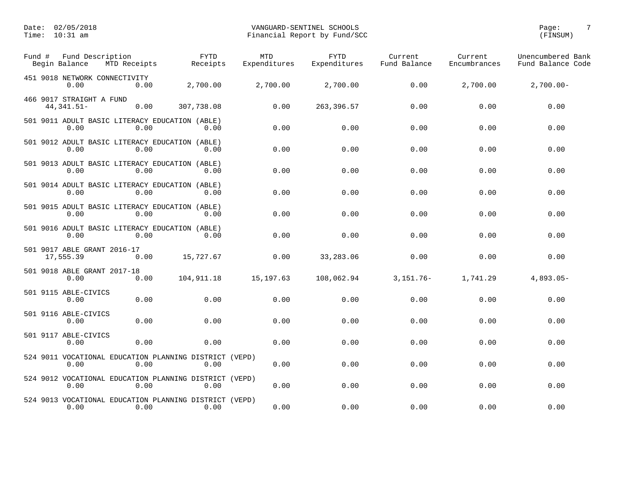| Fund # | Fund Description<br>Begin Balance<br>MTD Receipts              |      | <b>FYTD</b><br>Receipts | <b>MTD</b><br>Expenditures | <b>FYTD</b><br>Expenditures | Current<br>Fund Balance | Current<br>Encumbrances | Unencumbered Bank<br>Fund Balance Code |
|--------|----------------------------------------------------------------|------|-------------------------|----------------------------|-----------------------------|-------------------------|-------------------------|----------------------------------------|
|        | 451 9018 NETWORK CONNECTIVITY<br>0.00                          | 0.00 | 2,700.00                | 2,700.00                   | 2,700.00                    | 0.00                    | 2,700.00                | $2,700.00-$                            |
|        | 466 9017 STRAIGHT A FUND<br>44, 341.51-                        | 0.00 | 307,738.08              | 0.00                       | 263, 396.57                 | 0.00                    | 0.00                    | 0.00                                   |
|        | 501 9011 ADULT BASIC LITERACY EDUCATION (ABLE)<br>0.00         | 0.00 | 0.00                    | 0.00                       | 0.00                        | 0.00                    | 0.00                    | 0.00                                   |
|        | 501 9012 ADULT BASIC LITERACY EDUCATION (ABLE)<br>0.00         | 0.00 | 0.00                    | 0.00                       | 0.00                        | 0.00                    | 0.00                    | 0.00                                   |
|        | 501 9013 ADULT BASIC LITERACY EDUCATION (ABLE)<br>0.00         | 0.00 | 0.00                    | 0.00                       | 0.00                        | 0.00                    | 0.00                    | 0.00                                   |
|        | 501 9014 ADULT BASIC LITERACY EDUCATION (ABLE)<br>0.00         | 0.00 | 0.00                    | 0.00                       | 0.00                        | 0.00                    | 0.00                    | 0.00                                   |
|        | 501 9015 ADULT BASIC LITERACY EDUCATION (ABLE)<br>0.00         | 0.00 | 0.00                    | 0.00                       | 0.00                        | 0.00                    | 0.00                    | 0.00                                   |
|        | 501 9016 ADULT BASIC LITERACY EDUCATION (ABLE)<br>0.00         | 0.00 | 0.00                    | 0.00                       | 0.00                        | 0.00                    | 0.00                    | 0.00                                   |
|        | 501 9017 ABLE GRANT 2016-17<br>17,555.39                       | 0.00 | 15,727.67               | 0.00                       | 33,283.06                   | 0.00                    | 0.00                    | 0.00                                   |
|        | 501 9018 ABLE GRANT 2017-18<br>0.00                            | 0.00 | 104,911.18              | 15, 197.63                 | 108,062.94                  | $3,151.76-$             | 1,741.29                | $4,893.05-$                            |
|        | 501 9115 ABLE-CIVICS<br>0.00                                   | 0.00 | 0.00                    | 0.00                       | 0.00                        | 0.00                    | 0.00                    | 0.00                                   |
|        | 501 9116 ABLE-CIVICS<br>0.00                                   | 0.00 | 0.00                    | 0.00                       | 0.00                        | 0.00                    | 0.00                    | 0.00                                   |
|        | 501 9117 ABLE-CIVICS<br>0.00                                   | 0.00 | 0.00                    | 0.00                       | 0.00                        | 0.00                    | 0.00                    | 0.00                                   |
|        | 524 9011 VOCATIONAL EDUCATION PLANNING DISTRICT (VEPD)<br>0.00 | 0.00 | 0.00                    | 0.00                       | 0.00                        | 0.00                    | 0.00                    | 0.00                                   |
|        | 524 9012 VOCATIONAL EDUCATION PLANNING DISTRICT (VEPD)<br>0.00 | 0.00 | 0.00                    | 0.00                       | 0.00                        | 0.00                    | 0.00                    | 0.00                                   |
|        | 524 9013 VOCATIONAL EDUCATION PLANNING DISTRICT (VEPD)<br>0.00 | 0.00 | 0.00                    | 0.00                       | 0.00                        | 0.00                    | 0.00                    | 0.00                                   |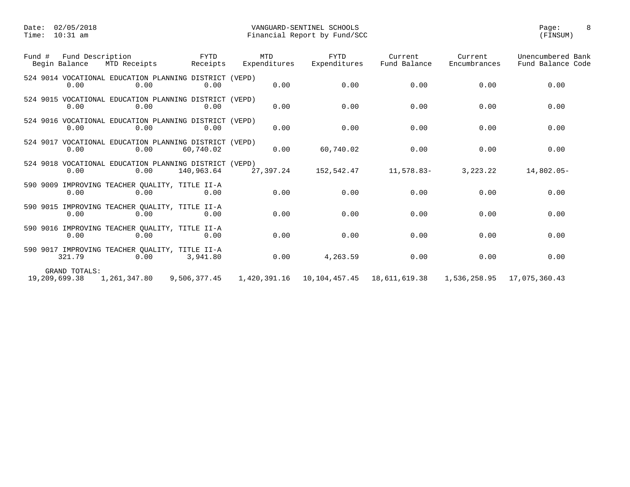| Fund Description<br>Fund #<br>Begin Balance | MTD Receipts                                                   | FYTD<br>Receipts | MTD<br>Expenditures | <b>FYTD</b><br>Expenditures  | Current<br>Fund Balance | Current<br>Encumbrances | Unencumbered Bank<br>Fund Balance Code |
|---------------------------------------------|----------------------------------------------------------------|------------------|---------------------|------------------------------|-------------------------|-------------------------|----------------------------------------|
| 0.00                                        | 524 9014 VOCATIONAL EDUCATION PLANNING DISTRICT (VEPD)<br>0.00 | 0.00             | 0.00                | 0.00                         | 0.00                    | 0.00                    | 0.00                                   |
| 0.00                                        | 524 9015 VOCATIONAL EDUCATION PLANNING DISTRICT (VEPD)<br>0.00 | 0.00             | 0.00                | 0.00                         | 0.00                    | 0.00                    | 0.00                                   |
| 0.00                                        | 524 9016 VOCATIONAL EDUCATION PLANNING DISTRICT (VEPD)<br>0.00 | 0.00             | 0.00                | 0.00                         | 0.00                    | 0.00                    | 0.00                                   |
| 0.00                                        | 524 9017 VOCATIONAL EDUCATION PLANNING DISTRICT (VEPD)<br>0.00 | 60,740.02        | 0.00                | 60,740.02                    | 0.00                    | 0.00                    | 0.00                                   |
| 0.00                                        | 524 9018 VOCATIONAL EDUCATION PLANNING DISTRICT (VEPD)<br>0.00 | 140,963.64       | 27,397.24           | 152,542.47                   | 11,578.83-              | 3,223.22                | $14,802.05-$                           |
| 0.00                                        | 590 9009 IMPROVING TEACHER QUALITY, TITLE II-A<br>0.00         | 0.00             | 0.00                | 0.00                         | 0.00                    | 0.00                    | 0.00                                   |
| 0.00                                        | 590 9015 IMPROVING TEACHER QUALITY, TITLE II-A<br>0.00         | 0.00             | 0.00                | 0.00                         | 0.00                    | 0.00                    | 0.00                                   |
| 0.00                                        | 590 9016 IMPROVING TEACHER QUALITY, TITLE II-A<br>0.00         | 0.00             | 0.00                | 0.00                         | 0.00                    | 0.00                    | 0.00                                   |
| 321.79                                      | 590 9017 IMPROVING TEACHER QUALITY, TITLE II-A<br>0.00         | 3,941.80         | 0.00                | 4,263.59                     | 0.00                    | 0.00                    | 0.00                                   |
| GRAND TOTALS:<br>19,209,699.38              | 1,261,347.80                                                   | 9,506,377.45     |                     | 1,420,391.16   10,104,457.45 | 18,611,619.38           | 1,536,258.95            | 17,075,360.43                          |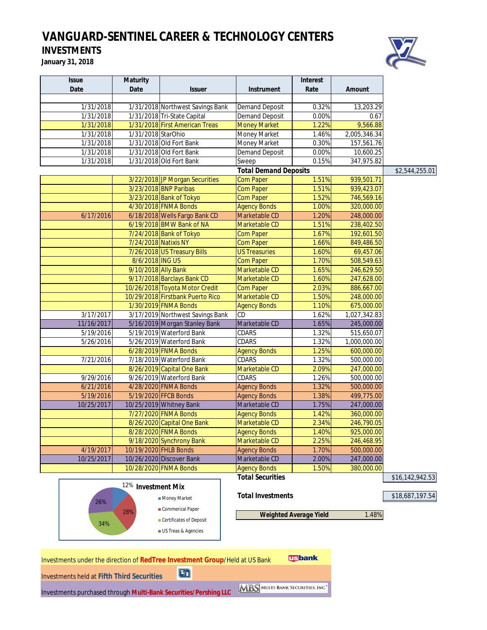# *VANGUARD-SENTINEL CAREER & TECHNOLOGY CENTERS*

**INVESTMENTS January 31, 2018**



| <b>Issue</b> | <b>Maturity</b>               |                                  |                              | <b>Interest</b> |               |                 |
|--------------|-------------------------------|----------------------------------|------------------------------|-----------------|---------------|-----------------|
| Date         | Date                          | <b>Issuer</b>                    | <b>Instrument</b>            | Rate            | <b>Amount</b> |                 |
| 1/31/2018    |                               | 1/31/2018 Northwest Savings Bank | <b>Demand Deposit</b>        | 0.32%           | 13,203.29     |                 |
| 1/31/2018    |                               | 1/31/2018 Tri-State Capital      | <b>Demand Deposit</b>        | 0.00%           | 0.67          |                 |
| 1/31/2018    |                               | 1/31/2018 First American Treas   | <b>Money Market</b>          | 1.22%           | 9,566.88      |                 |
| 1/31/2018    | 1/31/2018 StarOhio            |                                  | Money Market                 | 1.46%           | 2,005,346.34  |                 |
| 1/31/2018    |                               | 1/31/2018 Old Fort Bank          | Money Market                 | 0.30%           | 157,561.76    |                 |
| 1/31/2018    |                               | 1/31/2018 Old Fort Bank          | <b>Demand Deposit</b>        | 0.00%           | 10,600.25     |                 |
| 1/31/2018    |                               | 1/31/2018 Old Fort Bank          | Sweep                        | 0.15%           | 347,975.82    |                 |
|              |                               |                                  | <b>Total Demand Deposits</b> |                 |               | \$2,544,255.01  |
|              |                               | 3/22/2018 JP Morgan Securities   | <b>Com Paper</b>             | 1.51%           | 939,501.71    |                 |
|              |                               | 3/23/2018 BNP Paribas            | <b>Com Paper</b>             | 1.51%           | 939,423.07    |                 |
|              |                               | 3/23/2018 Bank of Tokyo          | <b>Com Paper</b>             | 1.52%           | 746,569.16    |                 |
|              |                               | 4/30/2018 FNMA Bonds             | <b>Agency Bonds</b>          | 1.00%           | 320,000.00    |                 |
| 6/17/2016    |                               | 6/18/2018 Wells Fargo Bank CD    | Marketable CD                | 1.20%           | 248,000.00    |                 |
|              |                               | 6/19/2018 BMW Bank of NA         | Marketable CD                | 1.51%           | 238,402.50    |                 |
|              |                               | 7/24/2018 Bank of Tokyo          | <b>Com Paper</b>             | 1.67%           | 192,601.50    |                 |
|              | 7/24/2018 Natixis NY          |                                  | <b>Com Paper</b>             | 1.66%           | 849,486.50    |                 |
|              |                               | 7/26/2018 US Treasury Bills      | <b>US Treasuries</b>         | 1.60%           | 69,457.06     |                 |
|              | 8/6/2018 ING US               |                                  | <b>Com Paper</b>             | 1.70%           | 508,549.63    |                 |
|              | 9/10/2018 Ally Bank           |                                  | Marketable CD                | 1.65%           | 246,629.50    |                 |
|              |                               | 9/17/2018 Barclays Bank CD       | Marketable CD                | 1.60%           | 247,628.00    |                 |
|              |                               | 10/26/2018 Toyota Motor Credit   | <b>Com Paper</b>             | 2.03%           | 886,667.00    |                 |
|              |                               | 10/29/2018 Firstbank Puerto Rico | Marketable CD                | 1.50%           | 248,000.00    |                 |
|              |                               | 1/30/2019 FNMA Bonds             | <b>Agency Bonds</b>          | 1.10%           | 675,000.00    |                 |
| 3/17/2017    |                               | 3/17/2019 Northwest Savings Bank | CD                           | 1.62%           | 1,027,342.83  |                 |
| 11/16/2017   |                               | 5/16/2019 Morgan Stanley Bank    | Marketable CD                | 1.65%           | 245,000.00    |                 |
| 5/19/2016    |                               | 5/19/2019 Waterford Bank         | CDARS                        | 1.32%           | 515,650.07    |                 |
| 5/26/2016    |                               | 5/26/2019 Waterford Bank         | CDARS                        | 1.32%           | 1,000,000.00  |                 |
|              |                               | 6/28/2019 FNMA Bonds             | <b>Agency Bonds</b>          | 1.25%           | 600,000.00    |                 |
| 7/21/2016    |                               | 7/18/2019 Waterford Bank         | CDARS                        | 1.32%           | 500,000.00    |                 |
|              |                               | 8/26/2019 Capital One Bank       | Marketable CD                | 2.09%           | 247,000.00    |                 |
| 9/29/2016    |                               | 9/26/2019 Waterford Bank         | CDARS                        | 1.26%           | 500,000.00    |                 |
| 6/21/2016    |                               | 4/28/2020 FNMA Bonds             | <b>Agency Bonds</b>          | 1.32%           | 500,000.00    |                 |
| 5/19/2016    |                               | 5/19/2020 FFCB Bonds             | <b>Agency Bonds</b>          | 1.38%           | 499,775.00    |                 |
| 10/25/2017   |                               | 10/25/2019 Whitney Bank          | Marketable CD                | 1.75%           | 247,000.00    |                 |
|              |                               | 7/27/2020 FNMA Bonds             | <b>Agency Bonds</b>          | 1.42%           | 360,000.00    |                 |
|              |                               | 8/26/2020 Capital One Bank       | Marketable CD                | 2.34%           | 246,790.05    |                 |
|              |                               | 8/28/2020 FNMA Bonds             | <b>Agency Bonds</b>          | 1.40%           | 925,000.00    |                 |
|              |                               | 9/18/2020 Synchrony Bank         | Marketable CD                | 2.25%           | 246,468.95    |                 |
| 4/19/2017    |                               | 10/19/2020 FHLB Bonds            | <b>Agency Bonds</b>          | 1.70%           | 500,000.00    |                 |
| 10/25/2017   |                               | 10/26/2020 Discover Bank         | Marketable CD                | 2.00%           | 247,000.00    |                 |
|              |                               | 10/28/2020 FNMA Bonds            | <b>Agency Bonds</b>          | 1.50%           | 380,000.00    |                 |
|              |                               |                                  | <b>Total Securities</b>      |                 |               | \$16,142,942.53 |
|              | <sup>12%</sup> Investment Mix |                                  |                              |                 |               |                 |
|              |                               | Money Market                     | <b>Total Investments</b>     |                 |               | \$18,687,197.54 |
| 26%          |                               | Commerical Paper                 |                              |                 |               |                 |

**Weighted Average Yield** 1.48%

Certificates of Deposit

28%

34%

US Treas & Agencies

**Usbank** Investments under the direction of **RedTree Investment Group**/Held at US Bank  $\boxed{5}$ Investments held at **Fifth Third Securities** Investments purchased through **Multi-Bank Securities/Pershing LLC**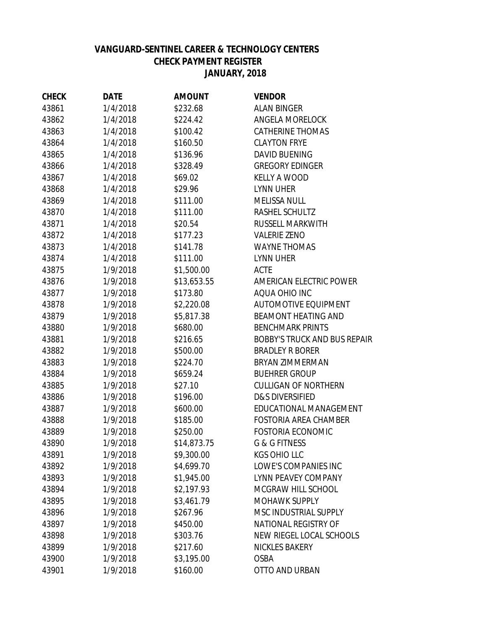# **VANGUARD-SENTINEL CAREER & TECHNOLOGY CENTERS CHECK PAYMENT REGISTER JANUARY, 2018 JANUARY, 2018**

| <b>CHECK</b> | <b>DATE</b> | <b>AMOUNT</b> | <b>VENDOR</b>                       |
|--------------|-------------|---------------|-------------------------------------|
| 43861        | 1/4/2018    | \$232.68      | <b>ALAN BINGER</b>                  |
| 43862        | 1/4/2018    | \$224.42      | <b>ANGELA MORELOCK</b>              |
| 43863        | 1/4/2018    | \$100.42      | <b>CATHERINE THOMAS</b>             |
| 43864        | 1/4/2018    | \$160.50      | <b>CLAYTON FRYE</b>                 |
| 43865        | 1/4/2018    | \$136.96      | <b>DAVID BUENING</b>                |
| 43866        | 1/4/2018    | \$328.49      | <b>GREGORY EDINGER</b>              |
| 43867        | 1/4/2018    | \$69.02       | <b>KELLY A WOOD</b>                 |
| 43868        | 1/4/2018    | \$29.96       | <b>LYNN UHER</b>                    |
| 43869        | 1/4/2018    | \$111.00      | <b>MELISSA NULL</b>                 |
| 43870        | 1/4/2018    | \$111.00      | RASHEL SCHULTZ                      |
| 43871        | 1/4/2018    | \$20.54       | RUSSELL MARKWITH                    |
| 43872        | 1/4/2018    | \$177.23      | <b>VALERIE ZENO</b>                 |
| 43873        | 1/4/2018    | \$141.78      | <b>WAYNE THOMAS</b>                 |
| 43874        | 1/4/2018    | \$111.00      | <b>LYNN UHER</b>                    |
| 43875        | 1/9/2018    | \$1,500.00    | <b>ACTE</b>                         |
| 43876        | 1/9/2018    | \$13,653.55   | AMERICAN ELECTRIC POWER             |
| 43877        | 1/9/2018    | \$173.80      | AQUA OHIO INC                       |
| 43878        | 1/9/2018    | \$2,220.08    | <b>AUTOMOTIVE EQUIPMENT</b>         |
| 43879        | 1/9/2018    | \$5,817.38    | <b>BEAMONT HEATING AND</b>          |
| 43880        | 1/9/2018    | \$680.00      | <b>BENCHMARK PRINTS</b>             |
| 43881        | 1/9/2018    | \$216.65      | <b>BOBBY'S TRUCK AND BUS REPAIR</b> |
| 43882        | 1/9/2018    | \$500.00      | <b>BRADLEY R BORER</b>              |
| 43883        | 1/9/2018    | \$224.70      | <b>BRYAN ZIMMERMAN</b>              |
| 43884        | 1/9/2018    | \$659.24      | <b>BUEHRER GROUP</b>                |
| 43885        | 1/9/2018    | \$27.10       | <b>CULLIGAN OF NORTHERN</b>         |
| 43886        | 1/9/2018    | \$196.00      | <b>D&amp;S DIVERSIFIED</b>          |
| 43887        | 1/9/2018    | \$600.00      | EDUCATIONAL MANAGEMENT              |
| 43888        | 1/9/2018    | \$185.00      | <b>FOSTORIA AREA CHAMBER</b>        |
| 43889        | 1/9/2018    | \$250.00      | <b>FOSTORIA ECONOMIC</b>            |
| 43890        | 1/9/2018    | \$14,873.75   | <b>G &amp; G FITNESS</b>            |
| 43891        | 1/9/2018    | \$9,300.00    | <b>KGS OHIO LLC</b>                 |
| 43892        | 1/9/2018    | \$4,699.70    | LOWE'S COMPANIES INC                |
| 43893        | 1/9/2018    | \$1,945.00    | LYNN PEAVEY COMPANY                 |
| 43894        | 1/9/2018    | \$2,197.93    | MCGRAW HILL SCHOOL                  |
| 43895        | 1/9/2018    | \$3,461.79    | <b>MOHAWK SUPPLY</b>                |
| 43896        | 1/9/2018    | \$267.96      | MSC INDUSTRIAL SUPPLY               |
| 43897        | 1/9/2018    | \$450.00      | NATIONAL REGISTRY OF                |
| 43898        | 1/9/2018    | \$303.76      | NEW RIEGEL LOCAL SCHOOLS            |
| 43899        | 1/9/2018    | \$217.60      | <b>NICKLES BAKERY</b>               |
| 43900        | 1/9/2018    | \$3,195.00    | <b>OSBA</b>                         |
| 43901        | 1/9/2018    | \$160.00      | OTTO AND URBAN                      |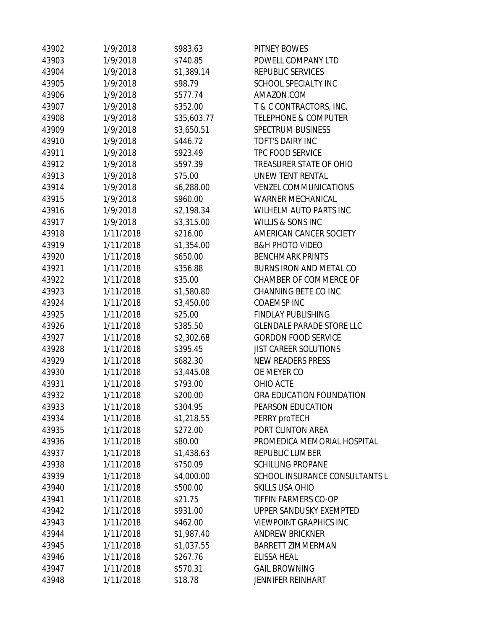| 43902 | 1/9/2018  | \$983.63    | PITNEY BOWES                     |
|-------|-----------|-------------|----------------------------------|
| 43903 | 1/9/2018  | \$740.85    | POWELL COMPANY LTD               |
| 43904 | 1/9/2018  | \$1,389.14  | REPUBLIC SERVICES                |
| 43905 | 1/9/2018  | \$98.79     | SCHOOL SPECIALTY INC             |
| 43906 | 1/9/2018  | \$577.74    | AMAZON.COM                       |
| 43907 | 1/9/2018  | \$352.00    | T & C CONTRACTORS, INC.          |
| 43908 | 1/9/2018  | \$35,603.77 | <b>TELEPHONE &amp; COMPUTER</b>  |
| 43909 | 1/9/2018  | \$3,650.51  | <b>SPECTRUM BUSINESS</b>         |
| 43910 | 1/9/2018  | \$446.72    | <b>TOFT'S DAIRY INC</b>          |
| 43911 | 1/9/2018  | \$923.49    | <b>TPC FOOD SERVICE</b>          |
| 43912 | 1/9/2018  | \$597.39    | TREASURER STATE OF OHIO          |
| 43913 | 1/9/2018  | \$75.00     | UNEW TENT RENTAL                 |
| 43914 | 1/9/2018  | \$6,288.00  | <b>VENZEL COMMUNICATIONS</b>     |
| 43915 | 1/9/2018  | \$960.00    | <b>WARNER MECHANICAL</b>         |
| 43916 | 1/9/2018  | \$2,198.34  | <b>WILHELM AUTO PARTS INC</b>    |
| 43917 | 1/9/2018  | \$3,315.00  | WILLIS & SONS INC                |
| 43918 | 1/11/2018 | \$216.00    | AMERICAN CANCER SOCIETY          |
| 43919 | 1/11/2018 | \$1,354.00  | <b>B&amp;H PHOTO VIDEO</b>       |
| 43920 | 1/11/2018 | \$650.00    | <b>BENCHMARK PRINTS</b>          |
| 43921 | 1/11/2018 | \$356.88    | BURNS IRON AND METAL CO          |
| 43922 | 1/11/2018 | \$35.00     | CHAMBER OF COMMERCE OF           |
| 43923 | 1/11/2018 | \$1,580.80  | CHANNING BETE CO INC             |
| 43924 | 1/11/2018 | \$3,450.00  | <b>COAEMSPINC</b>                |
| 43925 | 1/11/2018 | \$25.00     | <b>FINDLAY PUBLISHING</b>        |
| 43926 | 1/11/2018 | \$385.50    | <b>GLENDALE PARADE STORE LLC</b> |
| 43927 | 1/11/2018 | \$2,302.68  | <b>GORDON FOOD SERVICE</b>       |
| 43928 | 1/11/2018 | \$395.45    | <b>JIST CAREER SOLUTIONS</b>     |
| 43929 | 1/11/2018 | \$682.30    | <b>NEW READERS PRESS</b>         |
| 43930 | 1/11/2018 | \$3,445.08  | OE MEYER CO                      |
| 43931 | 1/11/2018 | \$793.00    | OHIO ACTE                        |
| 43932 | 1/11/2018 | \$200.00    | ORA EDUCATION FOUNDATION         |
| 43933 | 1/11/2018 | \$304.95    | PEARSON EDUCATION                |
| 43934 | 1/11/2018 | \$1,218.55  | PERRY proTECH                    |
| 43935 | 1/11/2018 | \$272.00    | PORT CLINTON AREA                |
| 43936 | 1/11/2018 | \$80.00     | PROMEDICA MEMORIAL HOSPITAL      |
| 43937 | 1/11/2018 | \$1,438.63  | <b>REPUBLIC LUMBER</b>           |
| 43938 | 1/11/2018 | \$750.09    | <b>SCHILLING PROPANE</b>         |
| 43939 | 1/11/2018 | \$4,000.00  | SCHOOL INSURANCE CONSULTANTS L   |
| 43940 | 1/11/2018 | \$500.00    | <b>SKILLS USA OHIO</b>           |
| 43941 | 1/11/2018 | \$21.75     | TIFFIN FARMERS CO-OP             |
| 43942 | 1/11/2018 | \$931.00    | UPPER SANDUSKY EXEMPTED          |
| 43943 | 1/11/2018 | \$462.00    | <b>VIEWPOINT GRAPHICS INC</b>    |
| 43944 | 1/11/2018 | \$1,987.40  | <b>ANDREW BRICKNER</b>           |
| 43945 | 1/11/2018 | \$1,037.55  | <b>BARRETT ZIMMERMAN</b>         |
| 43946 | 1/11/2018 | \$267.76    | ELISSA HEAL                      |
| 43947 | 1/11/2018 | \$570.31    | <b>GAIL BROWNING</b>             |
| 43948 | 1/11/2018 | \$18.78     | <b>JENNIFER REINHART</b>         |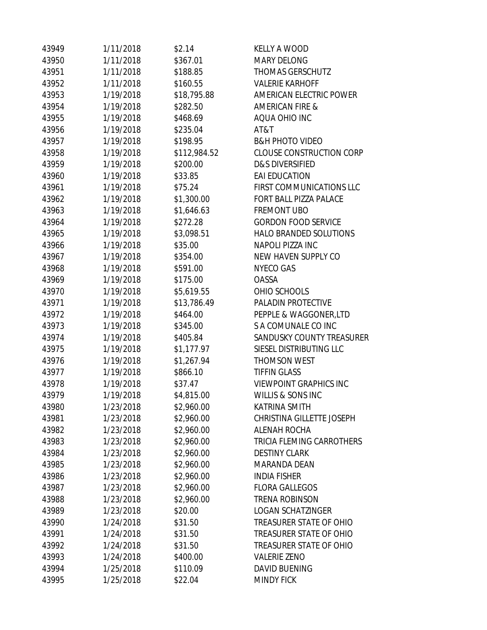| 43949 | 1/11/2018 | \$2.14       | <b>KELLY A WOOD</b>              |
|-------|-----------|--------------|----------------------------------|
| 43950 | 1/11/2018 | \$367.01     | <b>MARY DELONG</b>               |
| 43951 | 1/11/2018 | \$188.85     | <b>THOMAS GERSCHUTZ</b>          |
| 43952 | 1/11/2018 | \$160.55     | <b>VALERIE KARHOFF</b>           |
| 43953 | 1/19/2018 | \$18,795.88  | AMERICAN ELECTRIC POWER          |
| 43954 | 1/19/2018 | \$282.50     | <b>AMERICAN FIRE &amp;</b>       |
| 43955 | 1/19/2018 | \$468.69     | AQUA OHIO INC                    |
| 43956 | 1/19/2018 | \$235.04     | AT&T                             |
| 43957 | 1/19/2018 | \$198.95     | <b>B&amp;H PHOTO VIDEO</b>       |
| 43958 | 1/19/2018 | \$112,984.52 | <b>CLOUSE CONSTRUCTION CORP</b>  |
| 43959 | 1/19/2018 | \$200.00     | <b>D&amp;S DIVERSIFIED</b>       |
| 43960 | 1/19/2018 | \$33.85      | <b>EAI EDUCATION</b>             |
| 43961 | 1/19/2018 | \$75.24      | FIRST COMMUNICATIONS LLC         |
| 43962 | 1/19/2018 | \$1,300.00   | FORT BALL PIZZA PALACE           |
| 43963 | 1/19/2018 | \$1,646.63   | <b>FREMONT UBO</b>               |
| 43964 | 1/19/2018 | \$272.28     | <b>GORDON FOOD SERVICE</b>       |
| 43965 | 1/19/2018 | \$3,098.51   | <b>HALO BRANDED SOLUTIONS</b>    |
| 43966 | 1/19/2018 | \$35.00      | <b>NAPOLI PIZZA INC</b>          |
| 43967 | 1/19/2018 | \$354.00     | NEW HAVEN SUPPLY CO              |
| 43968 | 1/19/2018 | \$591.00     | <b>NYECO GAS</b>                 |
| 43969 | 1/19/2018 | \$175.00     | OASSA                            |
| 43970 | 1/19/2018 | \$5,619.55   | OHIO SCHOOLS                     |
| 43971 | 1/19/2018 | \$13,786.49  | PALADIN PROTECTIVE               |
| 43972 | 1/19/2018 | \$464.00     | PEPPLE & WAGGONER, LTD           |
| 43973 | 1/19/2018 | \$345.00     | S A COMUNALE CO INC              |
| 43974 | 1/19/2018 | \$405.84     | <b>SANDUSKY COUNTY TREASURER</b> |
| 43975 | 1/19/2018 | \$1,177.97   | SIESEL DISTRIBUTING LLC          |
| 43976 | 1/19/2018 | \$1,267.94   | <b>THOMSON WEST</b>              |
| 43977 | 1/19/2018 | \$866.10     | <b>TIFFIN GLASS</b>              |
| 43978 | 1/19/2018 | \$37.47      | <b>VIEWPOINT GRAPHICS INC</b>    |
| 43979 | 1/19/2018 | \$4,815.00   | <b>WILLIS &amp; SONS INC</b>     |
| 43980 | 1/23/2018 | \$2,960.00   | <b>KATRINA SMITH</b>             |
| 43981 | 1/23/2018 | \$2,960.00   | CHRISTINA GILLETTE JOSEPH        |
| 43982 | 1/23/2018 | \$2,960.00   | <b>ALENAH ROCHA</b>              |
| 43983 | 1/23/2018 | \$2,960.00   | <b>TRICIA FLEMING CARROTHERS</b> |
| 43984 | 1/23/2018 | \$2,960.00   | <b>DESTINY CLARK</b>             |
| 43985 | 1/23/2018 | \$2,960.00   | <b>MARANDA DEAN</b>              |
| 43986 | 1/23/2018 | \$2,960.00   | <b>INDIA FISHER</b>              |
| 43987 | 1/23/2018 | \$2,960.00   | <b>FLORA GALLEGOS</b>            |
| 43988 | 1/23/2018 | \$2,960.00   | <b>TRENA ROBINSON</b>            |
| 43989 | 1/23/2018 | \$20.00      | <b>LOGAN SCHATZINGER</b>         |
| 43990 | 1/24/2018 | \$31.50      | TREASURER STATE OF OHIO          |
| 43991 | 1/24/2018 | \$31.50      | TREASURER STATE OF OHIO          |
| 43992 | 1/24/2018 | \$31.50      | TREASURER STATE OF OHIO          |
| 43993 | 1/24/2018 | \$400.00     | <b>VALERIE ZENO</b>              |
| 43994 | 1/25/2018 | \$110.09     | <b>DAVID BUENING</b>             |
| 43995 | 1/25/2018 | \$22.04      | <b>MINDY FICK</b>                |
|       |           |              |                                  |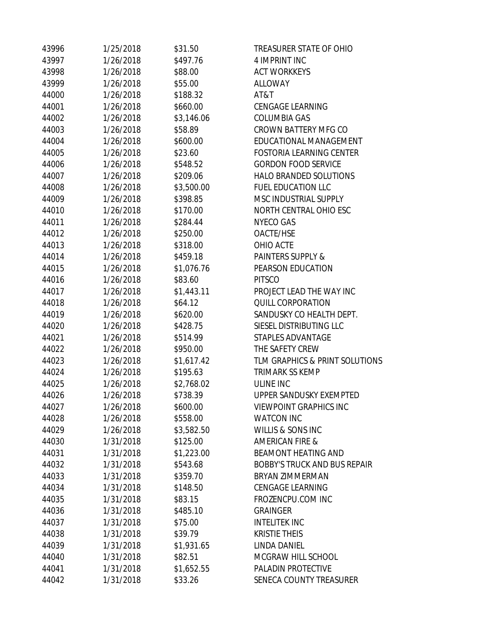| 43996 | 1/25/2018 | \$31.50    | TREASURER STATE OF OHIO             |
|-------|-----------|------------|-------------------------------------|
| 43997 | 1/26/2018 | \$497.76   | 4 IMPRINT INC                       |
| 43998 | 1/26/2018 | \$88.00    | <b>ACT WORKKEYS</b>                 |
| 43999 | 1/26/2018 | \$55.00    | <b>ALLOWAY</b>                      |
| 44000 | 1/26/2018 | \$188.32   | AT&T                                |
| 44001 | 1/26/2018 | \$660.00   | <b>CENGAGE LEARNING</b>             |
| 44002 | 1/26/2018 | \$3,146.06 | <b>COLUMBIA GAS</b>                 |
| 44003 | 1/26/2018 | \$58.89    | <b>CROWN BATTERY MFG CO</b>         |
| 44004 | 1/26/2018 | \$600.00   | EDUCATIONAL MANAGEMENT              |
| 44005 | 1/26/2018 | \$23.60    | <b>FOSTORIA LEARNING CENTER</b>     |
| 44006 | 1/26/2018 | \$548.52   | <b>GORDON FOOD SERVICE</b>          |
| 44007 | 1/26/2018 | \$209.06   | <b>HALO BRANDED SOLUTIONS</b>       |
| 44008 | 1/26/2018 | \$3,500.00 | <b>FUEL EDUCATION LLC</b>           |
| 44009 | 1/26/2018 | \$398.85   | MSC INDUSTRIAL SUPPLY               |
| 44010 | 1/26/2018 | \$170.00   | NORTH CENTRAL OHIO ESC              |
| 44011 | 1/26/2018 | \$284.44   | <b>NYECO GAS</b>                    |
| 44012 | 1/26/2018 | \$250.00   | OACTE/HSE                           |
| 44013 | 1/26/2018 | \$318.00   | OHIO ACTE                           |
| 44014 | 1/26/2018 | \$459.18   | <b>PAINTERS SUPPLY &amp;</b>        |
| 44015 | 1/26/2018 | \$1,076.76 | PEARSON EDUCATION                   |
| 44016 | 1/26/2018 | \$83.60    | <b>PITSCO</b>                       |
| 44017 | 1/26/2018 | \$1,443.11 | PROJECT LEAD THE WAY INC            |
| 44018 | 1/26/2018 | \$64.12    | QUILL CORPORATION                   |
| 44019 | 1/26/2018 | \$620.00   | SANDUSKY CO HEALTH DEPT.            |
| 44020 | 1/26/2018 | \$428.75   | SIESEL DISTRIBUTING LLC             |
| 44021 | 1/26/2018 | \$514.99   | STAPLES ADVANTAGE                   |
| 44022 | 1/26/2018 | \$950.00   | THE SAFETY CREW                     |
| 44023 | 1/26/2018 | \$1,617.42 | TLM GRAPHICS & PRINT SOLUTIONS      |
| 44024 | 1/26/2018 | \$195.63   | <b>TRIMARK SS KEMP</b>              |
| 44025 | 1/26/2018 | \$2,768.02 | <b>ULINE INC</b>                    |
| 44026 | 1/26/2018 | \$738.39   | <b>UPPER SANDUSKY EXEMPTED</b>      |
| 44027 | 1/26/2018 | \$600.00   | <b>VIEWPOINT GRAPHICS INC</b>       |
| 44028 | 1/26/2018 | \$558.00   | <b>WATCON INC</b>                   |
| 44029 | 1/26/2018 | \$3,582.50 | <b>WILLIS &amp; SONS INC</b>        |
| 44030 | 1/31/2018 | \$125.00   | <b>AMERICAN FIRE &amp;</b>          |
| 44031 | 1/31/2018 | \$1,223.00 | <b>BEAMONT HEATING AND</b>          |
| 44032 | 1/31/2018 | \$543.68   | <b>BOBBY'S TRUCK AND BUS REPAIR</b> |
| 44033 | 1/31/2018 | \$359.70   | <b>BRYAN ZIMMERMAN</b>              |
| 44034 | 1/31/2018 | \$148.50   | <b>CENGAGE LEARNING</b>             |
| 44035 | 1/31/2018 | \$83.15    | FROZENCPU.COM INC                   |
| 44036 | 1/31/2018 | \$485.10   | <b>GRAINGER</b>                     |
| 44037 | 1/31/2018 | \$75.00    | <b>INTELITEK INC</b>                |
| 44038 | 1/31/2018 | \$39.79    | <b>KRISTIE THEIS</b>                |
| 44039 | 1/31/2018 | \$1,931.65 | <b>LINDA DANIEL</b>                 |
| 44040 | 1/31/2018 | \$82.51    | MCGRAW HILL SCHOOL                  |
| 44041 | 1/31/2018 | \$1,652.55 | PALADIN PROTECTIVE                  |
| 44042 | 1/31/2018 | \$33.26    | SENECA COUNTY TREASURER             |